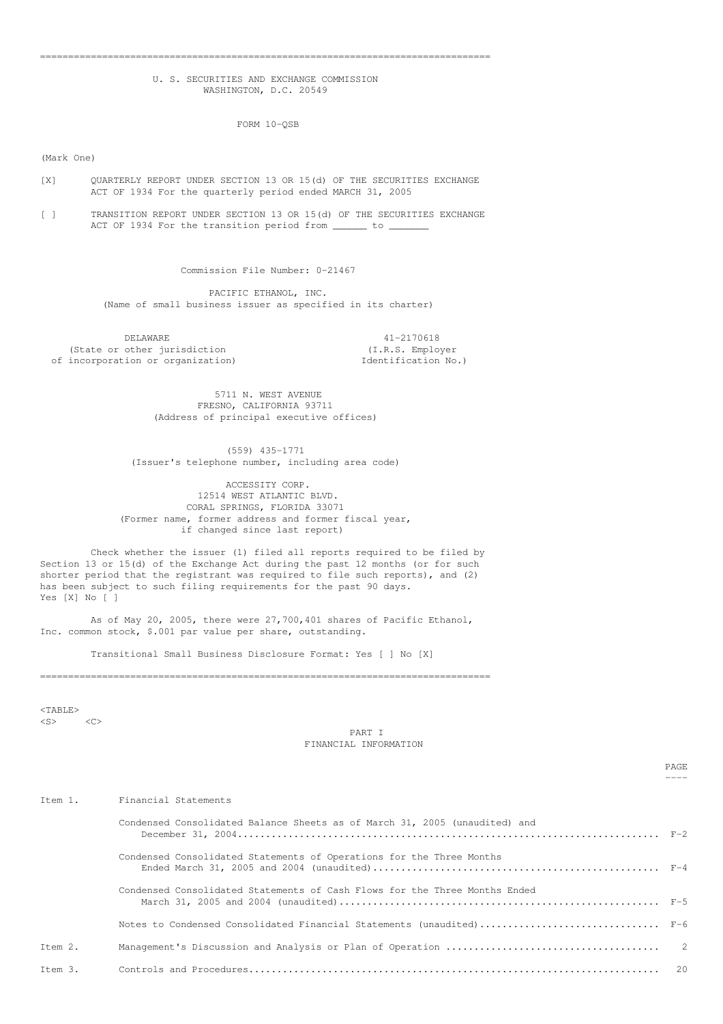### U. S. SECURITIES AND EXCHANGE COMMISSION WASHINGTON, D.C. 20549

================================================================================

FORM 10-OSB

(Mark One)

- [X] QUARTERLY REPORT UNDER SECTION 13 OR 15(d) OF THE SECURITIES EXCHANGE ACT OF 1934 For the quarterly period ended MARCH 31, 2005
- [ ] TRANSITION REPORT UNDER SECTION 13 OR 15(d) OF THE SECURITIES EXCHANGE ACT OF 1934 For the transition period from  $\frac{\ }{\ }$  to  $\frac{\ }{\ }$

Commission File Number: 0-21467

PACIFIC ETHANOL, INC. (Name of small business issuer as specified in its charter)

DELAWARE 41-2170618 (State or other jurisdiction (I.R.S. Employer

of incorporation or organization) Identification No.)

5711 N. WEST AVENUE FRESNO, CALIFORNIA 93711 (Address of principal executive offices)

(559) 435-1771 (Issuer's telephone number, including area code)

ACCESSITY CORP. 12514 WEST ATLANTIC BLVD. CORAL SPRINGS, FLORIDA 33071 (Former name, former address and former fiscal year, if changed since last report)

Check whether the issuer (1) filed all reports required to be filed by Section 13 or 15(d) of the Exchange Act during the past 12 months (or for such shorter period that the registrant was required to file such reports), and (2) has been subject to such filing requirements for the past 90 days. Yes [X] No [ ]

As of May 20, 2005, there were 27,700,401 shares of Pacific Ethanol, Inc. common stock, \$.001 par value per share, outstanding.

Transitional Small Business Disclosure Format: Yes [ ] No [X]

================================================================================

<TABLE>  $\langle$ S>  $\langle$ C>

> PART I FINANCIAL INFORMATION

> > PAGE ----

### Item 1. Financial Statements

|         | Condensed Consolidated Balance Sheets as of March 31, 2005 (unaudited) and |  |
|---------|----------------------------------------------------------------------------|--|
|         | Condensed Consolidated Statements of Operations for the Three Months       |  |
|         | Condensed Consolidated Statements of Cash Flows for the Three Months Ended |  |
|         | Notes to Condensed Consolidated Financial Statements (unaudited) F-6       |  |
| Item 2. |                                                                            |  |
| Item 3. |                                                                            |  |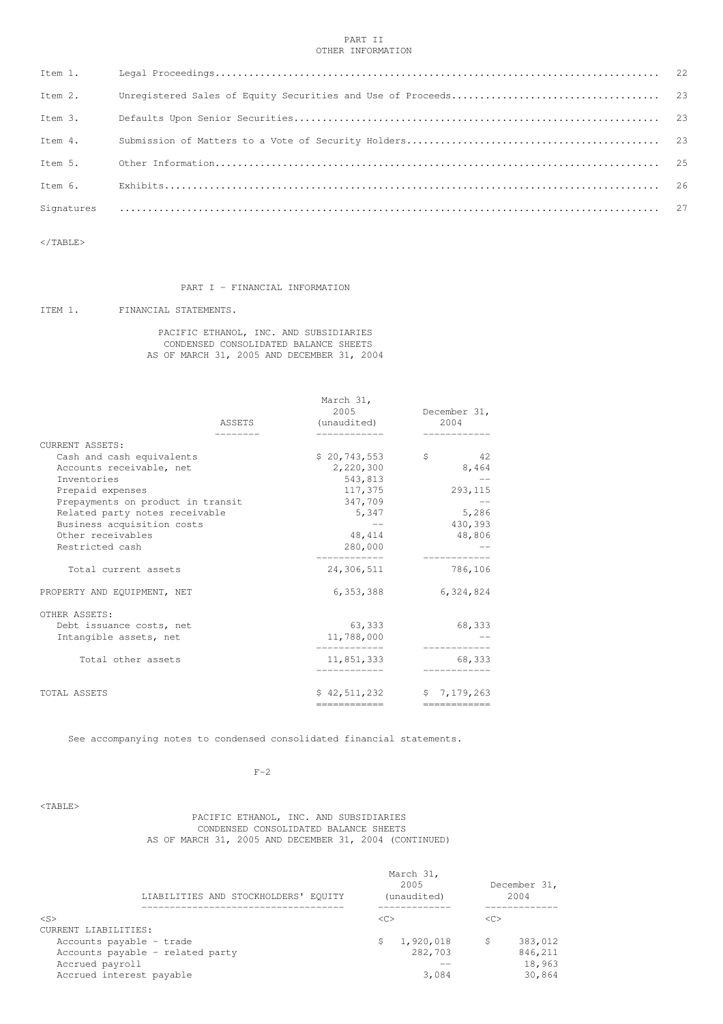### PART II OTHER INFORMATION

| Item 2. |  |  |
|---------|--|--|
| Item 3. |  |  |
| Item 4. |  |  |
| Item 5. |  |  |
| Item 6. |  |  |
|         |  |  |

</TABLE>

# PART I - FINANCIAL INFORMATION

ITEM 1. FINANCIAL STATEMENTS.

PACIFIC ETHANOL, INC. AND SUBSIDIARIES CONDENSED CONSOLIDATED BALANCE SHEETS AS OF MARCH 31, 2005 AND DECEMBER 31, 2004

| ASSETS                            | March 31,<br>2005<br>(unaudited) | December 31,<br>2004                 |
|-----------------------------------|----------------------------------|--------------------------------------|
| CURRENT ASSETS:                   |                                  |                                      |
| Cash and cash equivalents         | \$20, 743, 553                   | $\mathcal{S}$<br>42                  |
| Accounts receivable, net          | 2,220,300                        | 8,464                                |
| Inventories                       | 543,813                          |                                      |
| Prepaid expenses                  | 117,375                          | 293, 115                             |
| Prepayments on product in transit | 347,709                          |                                      |
| Related party notes receivable    | 5,347                            | 5,286                                |
| Business acquisition costs        |                                  | 430,393                              |
| Other receivables                 | 48,414                           | 48,806                               |
| Restricted cash                   | 280,000                          |                                      |
| Total current assets              | 24,306,511                       | 786,106                              |
| PROPERTY AND EQUIPMENT, NET       | 6,353,388                        | 6,324,824                            |
| OTHER ASSETS:                     |                                  |                                      |
| Debt issuance costs, net          | 63,333                           | 68,333                               |
| Intangible assets, net            | 11,788,000                       |                                      |
| Total other assets                | 11,851,333<br>. <u>.</u>         | -----------<br>68,333<br>----------- |
| TOTAL ASSETS                      | \$42.511.232<br>------------     | \$7.179.263<br>-------------         |

See accompanying notes to condensed consolidated financial statements.

### $F-2$

# <TABLE>

PACIFIC ETHANOL, INC. AND SUBSIDIARIES CONDENSED CONSOLIDATED BALANCE SHEETS AS OF MARCH 31, 2005 AND DECEMBER 31, 2004 (CONTINUED)

| LIABILITIES AND STOCKHOLDERS' EQUITY | March 31,<br>2005<br>(unaudited) | December 31,<br>2004 |
|--------------------------------------|----------------------------------|----------------------|
|                                      |                                  |                      |
| $<$ S>                               | $\langle C \rangle$              | $\langle C \rangle$  |
| CURRENT LIABILITIES:                 |                                  |                      |
| Accounts payable - trade             | 1,920,018<br>S.                  | 383,012<br>S         |
| Accounts payable - related party     | 282,703                          | 846,211              |
| Accrued payroll                      |                                  | 18,963               |
| Accrued interest payable             | 3,084                            | 30,864               |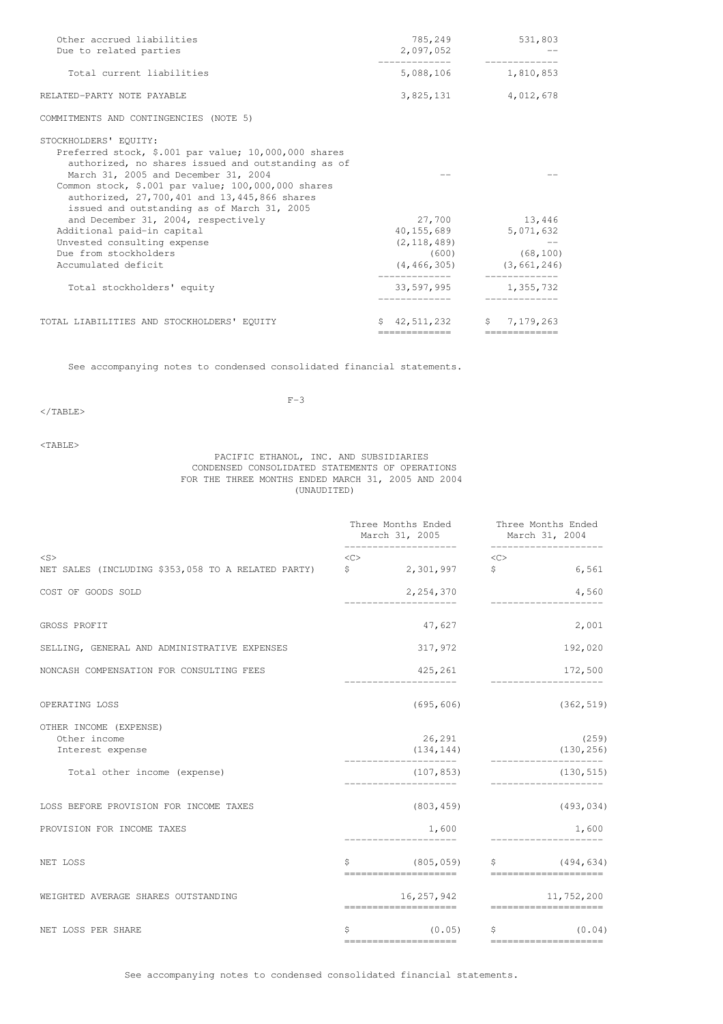| Other accrued liabilities<br>Due to related parties                                                                                                                                                                                                                                                                              | 785,249<br>2,097,052                        | 531,803                                                                                        |
|----------------------------------------------------------------------------------------------------------------------------------------------------------------------------------------------------------------------------------------------------------------------------------------------------------------------------------|---------------------------------------------|------------------------------------------------------------------------------------------------|
| Total current liabilities                                                                                                                                                                                                                                                                                                        | 5,088,106                                   | 1,810,853                                                                                      |
| RELATED-PARTY NOTE PAYABLE                                                                                                                                                                                                                                                                                                       | 3,825,131                                   | 4,012,678                                                                                      |
| COMMITMENTS AND CONTINGENCIES (NOTE 5)                                                                                                                                                                                                                                                                                           |                                             |                                                                                                |
| STOCKHOLDERS' EQUITY:<br>Preferred stock, \$.001 par value; 10,000,000 shares<br>authorized, no shares issued and outstanding as of<br>March 31, 2005 and December 31, 2004<br>Common stock, \$.001 par value; 100,000,000 shares<br>authorized, 27,700,401 and 13,445,866 shares<br>issued and outstanding as of March 31, 2005 |                                             |                                                                                                |
| and December 31, 2004, respectively<br>Additional paid-in capital<br>Unvested consulting expense<br>Due from stockholders<br>Accumulated deficit                                                                                                                                                                                 | 27,700<br>(2, 118, 489)                     | 13,446<br>$40, 155, 689$ 5, 071, 632<br>$(600)$ $(68, 100)$<br>$(4, 466, 305)$ $(3, 661, 246)$ |
| Total stockholders' equity                                                                                                                                                                                                                                                                                                       | 33,597,995                                  | ____________<br>1,355,732                                                                      |
| TOTAL LIABILITIES AND STOCKHOLDERS' EOUITY                                                                                                                                                                                                                                                                                       | $$42,511,232$ $$7,179,263$<br>------------- | =============                                                                                  |

See accompanying notes to condensed consolidated financial statements.

 $F-3$ 

 $\langle$ /TABLE>

<TABLE>

PACIFIC ETHANOL, INC. AND SUBSIDIARIES CONDENSED CONSOLIDATED STATEMENTS OF OPERATIONS FOR THE THREE MONTHS ENDED MARCH 31, 2005 AND 2004 (UNAUDITED)

| Three Months Ended<br>March 31, 2005 |                      | Three Months Ended<br>March 31, 2004                                                                                       |                                                                                        |
|--------------------------------------|----------------------|----------------------------------------------------------------------------------------------------------------------------|----------------------------------------------------------------------------------------|
| <<><br>\$                            |                      | <<<br>$\mathsf{S}$                                                                                                         | 6,561                                                                                  |
|                                      | 2,254,370            |                                                                                                                            | 4,560                                                                                  |
|                                      | 47,627               |                                                                                                                            | 2,001                                                                                  |
|                                      | 317,972              |                                                                                                                            | 192,020                                                                                |
|                                      | 425,261              |                                                                                                                            | 172,500                                                                                |
|                                      | (695, 606)           |                                                                                                                            | (362, 519)                                                                             |
|                                      | 26,291<br>(134, 144) |                                                                                                                            | (259)<br>(130, 256)                                                                    |
|                                      |                      |                                                                                                                            | (130, 515)                                                                             |
|                                      | (803, 459)           |                                                                                                                            | (493, 034)                                                                             |
|                                      | 1,600                |                                                                                                                            | 1,600                                                                                  |
| \$                                   |                      |                                                                                                                            | (494, 634)<br>====================                                                     |
|                                      |                      |                                                                                                                            | 11,752,200                                                                             |
| \$                                   | (0.05)               | \$                                                                                                                         | (0.04)<br>_________________________                                                    |
|                                      |                      | --------------<br>----------------<br>------------<br>======================<br>-----------------<br>--------------------- | 2,301,997<br>(107, 853)<br>(805, 059)<br>$\mathsf{S}$ and $\mathsf{S}$<br>16, 257, 942 |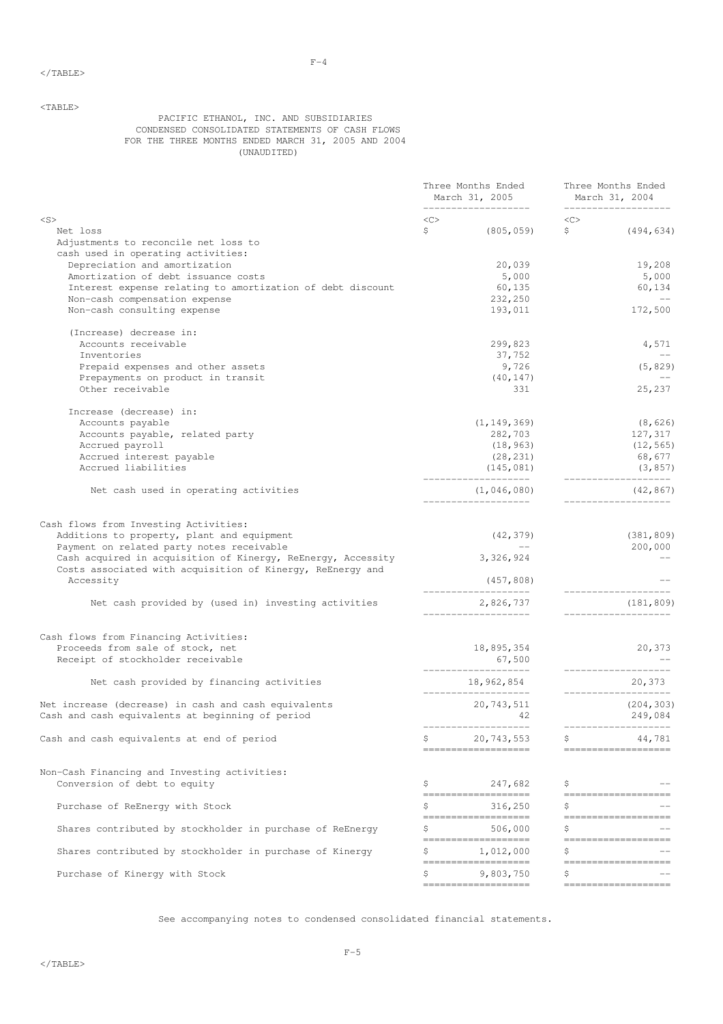$F-4$ 

# <TABLE> PACIFIC ETHANOL, INC. AND SUBSIDIARIES

### CONDENSED CONSOLIDATED STATEMENTS OF CASH FLOWS FOR THE THREE MONTHS ENDED MARCH 31, 2005 AND 2004

(UNAUDITED)

|                                                                                                           | Three Months Ended<br>March 31, 2005<br>____________________ |                                    | Three Months Ended<br>March 31, 2004<br>____________________ |                                   |
|-----------------------------------------------------------------------------------------------------------|--------------------------------------------------------------|------------------------------------|--------------------------------------------------------------|-----------------------------------|
| $<$ S $>$                                                                                                 | <<>                                                          |                                    | <<>                                                          |                                   |
| Net loss<br>Adjustments to reconcile net loss to                                                          | $\mathsf{S}$                                                 | (805,059)                          | S                                                            | (494, 634)                        |
| cash used in operating activities:                                                                        |                                                              |                                    |                                                              |                                   |
| Depreciation and amortization<br>Amortization of debt issuance costs                                      |                                                              | 20,039<br>5,000                    |                                                              | 19,208<br>5,000                   |
| Interest expense relating to amortization of debt discount                                                |                                                              | 60,135                             |                                                              | 60,134                            |
| Non-cash compensation expense                                                                             |                                                              | 232,250                            |                                                              |                                   |
| Non-cash consulting expense                                                                               |                                                              | 193,011                            |                                                              | 172,500                           |
| (Increase) decrease in:                                                                                   |                                                              |                                    |                                                              |                                   |
| Accounts receivable                                                                                       |                                                              | 299,823                            |                                                              | 4,571                             |
| Inventories                                                                                               |                                                              | 37,752                             |                                                              |                                   |
| Prepaid expenses and other assets                                                                         |                                                              | 9,726                              |                                                              | (5, 829)                          |
| Prepayments on product in transit<br>Other receivable                                                     |                                                              | (40, 147)<br>331                   |                                                              | 25,237                            |
| Increase (decrease) in:                                                                                   |                                                              |                                    |                                                              |                                   |
| Accounts payable                                                                                          |                                                              | (1, 149, 369)                      |                                                              | (8,626)                           |
| Accounts payable, related party                                                                           |                                                              | 282,703                            |                                                              | 127,317                           |
| Accrued payroll                                                                                           |                                                              | (18, 963)                          |                                                              | (12, 565)                         |
| Accrued interest payable                                                                                  |                                                              | (28, 231)                          |                                                              | 68,677                            |
| Accrued liabilities                                                                                       |                                                              | (145, 081)<br>________________     |                                                              | (3, 857)<br>------------------    |
| Net cash used in operating activities                                                                     |                                                              | (1,046,080)<br>________________    |                                                              | (42, 867)<br>______________       |
| Cash flows from Investing Activities:                                                                     |                                                              |                                    |                                                              |                                   |
| Additions to property, plant and equipment                                                                |                                                              | (42, 379)                          |                                                              | (381, 809)                        |
| Payment on related party notes receivable<br>Cash acquired in acquisition of Kinergy, ReEnergy, Accessity |                                                              | 3, 326, 924                        |                                                              | 200,000                           |
| Costs associated with acquisition of Kinergy, ReEnergy and<br>Accessity                                   |                                                              | (457,808)                          |                                                              |                                   |
|                                                                                                           |                                                              | _____________________              |                                                              | ____________________              |
| Net cash provided by (used in) investing activities                                                       |                                                              | 2,826,737<br>__________________    |                                                              | (181, 809)<br>___________________ |
| Cash flows from Financing Activities:                                                                     |                                                              |                                    |                                                              |                                   |
| Proceeds from sale of stock, net                                                                          |                                                              | 18,895,354                         |                                                              | 20,373                            |
| Receipt of stockholder receivable                                                                         |                                                              | 67,500<br>____________________     |                                                              | -------------------               |
| Net cash provided by financing activities                                                                 |                                                              | 18,962,854<br>-------------------- |                                                              | 20,373                            |
| Net increase (decrease) in cash and cash equivalents                                                      |                                                              | 20,743,511                         |                                                              | (204, 303)                        |
| Cash and cash equivalents at beginning of period                                                          |                                                              | 42                                 |                                                              | 249,084<br>-------------------    |
| Cash and cash equivalents at end of period                                                                | \$                                                           | 20,743,553<br>============         | Ş                                                            | 44,781<br>---------------         |
|                                                                                                           |                                                              |                                    |                                                              |                                   |
| Non-Cash Financing and Investing activities:<br>Conversion of debt to equity                              | \$                                                           | 247,682<br>--------------------    |                                                              | ===================               |
| Purchase of ReEnergy with Stock                                                                           | \$                                                           | 316,250                            | \$                                                           |                                   |
| Shares contributed by stockholder in purchase of ReEnergy                                                 | \$                                                           | ===================<br>506,000     | \$                                                           | =====================             |
| Shares contributed by stockholder in purchase of Kinergy                                                  | \$                                                           | ===================<br>1,012,000   | \$                                                           | ====================              |
| Purchase of Kinergy with Stock                                                                            | \$                                                           | -------------------<br>9,803,750   | \$                                                           | --------------------              |
|                                                                                                           |                                                              | --------------------               |                                                              | ====================              |

See accompanying notes to condensed consolidated financial statements.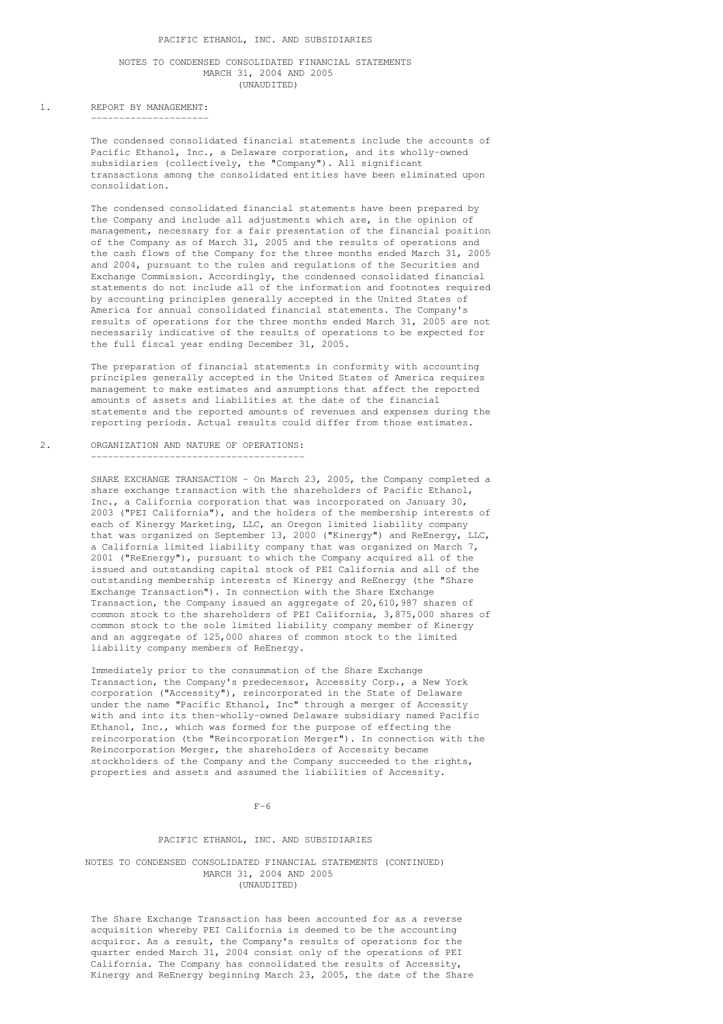# PACIFIC ETHANOL, INC. AND SUBSIDIARIES

#### NOTES TO CONDENSED CONSOLIDATED FINANCIAL STATEMENTS MARCH 31, 2004 AND 2005 (UNAUDITED)

### 1. REPORT BY MANAGEMENT: ---------------------

The condensed consolidated financial statements include the accounts of Pacific Ethanol, Inc., a Delaware corporation, and its wholly-owned subsidiaries (collectively, the "Company"). All significant transactions among the consolidated entities have been eliminated upon consolidation.

The condensed consolidated financial statements have been prepared by the Company and include all adjustments which are, in the opinion of management, necessary for a fair presentation of the financial position of the Company as of March 31, 2005 and the results of operations and the cash flows of the Company for the three months ended March 31, 2005 and 2004, pursuant to the rules and regulations of the Securities and Exchange Commission. Accordingly, the condensed consolidated financial statements do not include all of the information and footnotes required by accounting principles generally accepted in the United States of America for annual consolidated financial statements. The Company's results of operations for the three months ended March 31, 2005 are not necessarily indicative of the results of operations to be expected for the full fiscal year ending December 31, 2005.

The preparation of financial statements in conformity with accounting principles generally accepted in the United States of America requires management to make estimates and assumptions that affect the reported amounts of assets and liabilities at the date of the financial statements and the reported amounts of revenues and expenses during the reporting periods. Actual results could differ from those estimates.

### 2. ORGANIZATION AND NATURE OF OPERATIONS: --------------------------------------

SHARE EXCHANGE TRANSACTION - On March 23, 2005, the Company completed a share exchange transaction with the shareholders of Pacific Ethanol, Inc., a California corporation that was incorporated on January 30, 2003 ("PEI California"), and the holders of the membership interests of each of Kinergy Marketing, LLC, an Oregon limited liability company that was organized on September 13, 2000 ("Kinergy") and ReEnergy, LLC, a California limited liability company that was organized on March 7, 2001 ("ReEnergy"), pursuant to which the Company acquired all of the issued and outstanding capital stock of PEI California and all of the outstanding membership interests of Kinergy and ReEnergy (the "Share Exchange Transaction"). In connection with the Share Exchange Transaction, the Company issued an aggregate of 20,610,987 shares of common stock to the shareholders of PEI California, 3,875,000 shares of common stock to the sole limited liability company member of Kinergy and an aggregate of 125,000 shares of common stock to the limited liability company members of ReEnergy.

Immediately prior to the consummation of the Share Exchange Transaction, the Company's predecessor, Accessity Corp., a New York corporation ("Accessity"), reincorporated in the State of Delaware under the name "Pacific Ethanol, Inc" through a merger of Accessity with and into its then-wholly-owned Delaware subsidiary named Pacific Ethanol, Inc., which was formed for the purpose of effecting the reincorporation (the "Reincorporation Merger"). In connection with the Reincorporation Merger, the shareholders of Accessity became stockholders of the Company and the Company succeeded to the rights, properties and assets and assumed the liabilities of Accessity.

### $F-6$

### PACIFIC ETHANOL, INC. AND SUBSIDIARIES

#### NOTES TO CONDENSED CONSOLIDATED FINANCIAL STATEMENTS (CONTINUED) MARCH 31, 2004 AND 2005 (UNAUDITED)

The Share Exchange Transaction has been accounted for as a reverse acquisition whereby PEI California is deemed to be the accounting acquiror. As a result, the Company's results of operations for the quarter ended March 31, 2004 consist only of the operations of PEI California. The Company has consolidated the results of Accessity, Kinergy and ReEnergy beginning March 23, 2005, the date of the Share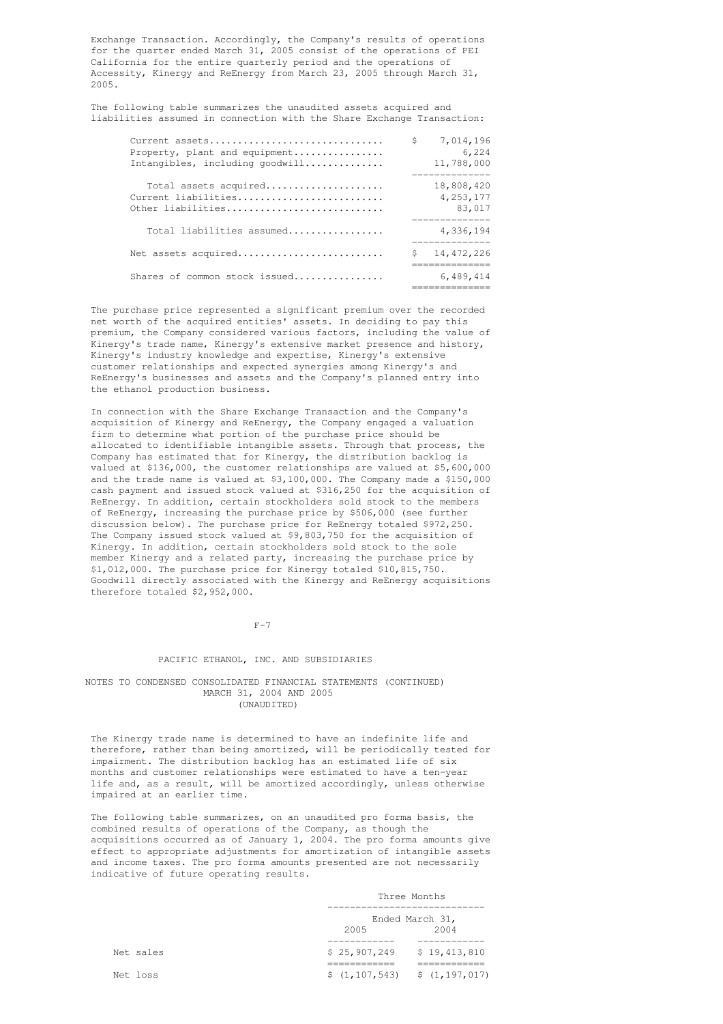Exchange Transaction. Accordingly, the Company's results of operations for the quarter ended March 31, 2005 consist of the operations of PEI California for the entire quarterly period and the operations of Accessity, Kinergy and ReEnergy from March 23, 2005 through March 31, 2005.

The following table summarizes the unaudited assets acquired and liabilities assumed in connection with the Share Exchange Transaction:

| Current assets<br>Property, plant and equipment<br>Intangibles, including goodwill | S | 7,014,196<br>6,224<br>11,788,000<br>------------ |
|------------------------------------------------------------------------------------|---|--------------------------------------------------|
| Total assets acquired<br>Current liabilities<br>Other liabilities                  |   | 18,808,420<br>4, 253, 177<br>83,017              |
| Total liabilities assumed                                                          |   | 4,336,194<br>-------------                       |
| Net assets acquired                                                                | S | 14, 472, 226<br>------------                     |
| Shares of common stock issued                                                      |   | 6,489,414                                        |

The purchase price represented a significant premium over the recorded net worth of the acquired entities' assets. In deciding to pay this premium, the Company considered various factors, including the value of Kinergy's trade name, Kinergy's extensive market presence and history, Kinergy's industry knowledge and expertise, Kinergy's extensive customer relationships and expected synergies among Kinergy's and ReEnergy's businesses and assets and the Company's planned entry into the ethanol production business.

In connection with the Share Exchange Transaction and the Company's acquisition of Kinergy and ReEnergy, the Company engaged a valuation firm to determine what portion of the purchase price should be allocated to identifiable intangible assets. Through that process, the Company has estimated that for Kinergy, the distribution backlog is valued at \$136,000, the customer relationships are valued at \$5,600,000 and the trade name is valued at \$3,100,000. The Company made a \$150,000 cash payment and issued stock valued at \$316,250 for the acquisition of ReEnergy. In addition, certain stockholders sold stock to the members of ReEnergy, increasing the purchase price by \$506,000 (see further discussion below). The purchase price for ReEnergy totaled \$972,250. The Company issued stock valued at \$9,803,750 for the acquisition of Kinergy. In addition, certain stockholders sold stock to the sole member Kinergy and a related party, increasing the purchase price by \$1,012,000. The purchase price for Kinergy totaled \$10,815,750. Goodwill directly associated with the Kinergy and ReEnergy acquisitions therefore totaled \$2,952,000.

 $F-7$ 

# PACIFIC ETHANOL, INC. AND SUBSIDIARIES

#### NOTES TO CONDENSED CONSOLIDATED FINANCIAL STATEMENTS (CONTINUED) MARCH 31, 2004 AND 2005 (UNAUDITED)

The Kinergy trade name is determined to have an indefinite life and therefore, rather than being amortized, will be periodically tested for impairment. The distribution backlog has an estimated life of six months and customer relationships were estimated to have a ten-year life and, as a result, will be amortized accordingly, unless otherwise impaired at an earlier time.

The following table summarizes, on an unaudited pro forma basis, the combined results of operations of the Company, as though the acquisitions occurred as of January  $1$ , 2004. The pro forma amounts give effect to appropriate adjustments for amortization of intangible assets and income taxes. The pro forma amounts presented are not necessarily indicative of future operating results.

|           |              | Three Months                                        |  |  |
|-----------|--------------|-----------------------------------------------------|--|--|
|           |              |                                                     |  |  |
|           |              | Ended March 31,                                     |  |  |
|           | 2005         | 2004                                                |  |  |
|           | ________     |                                                     |  |  |
| Net sales | \$25,907,249 | \$19,413,810                                        |  |  |
|           |              |                                                     |  |  |
| Net loss  |              | $\frac{1}{2}$ (1,107,543) $\frac{1}{2}$ (1,197,017) |  |  |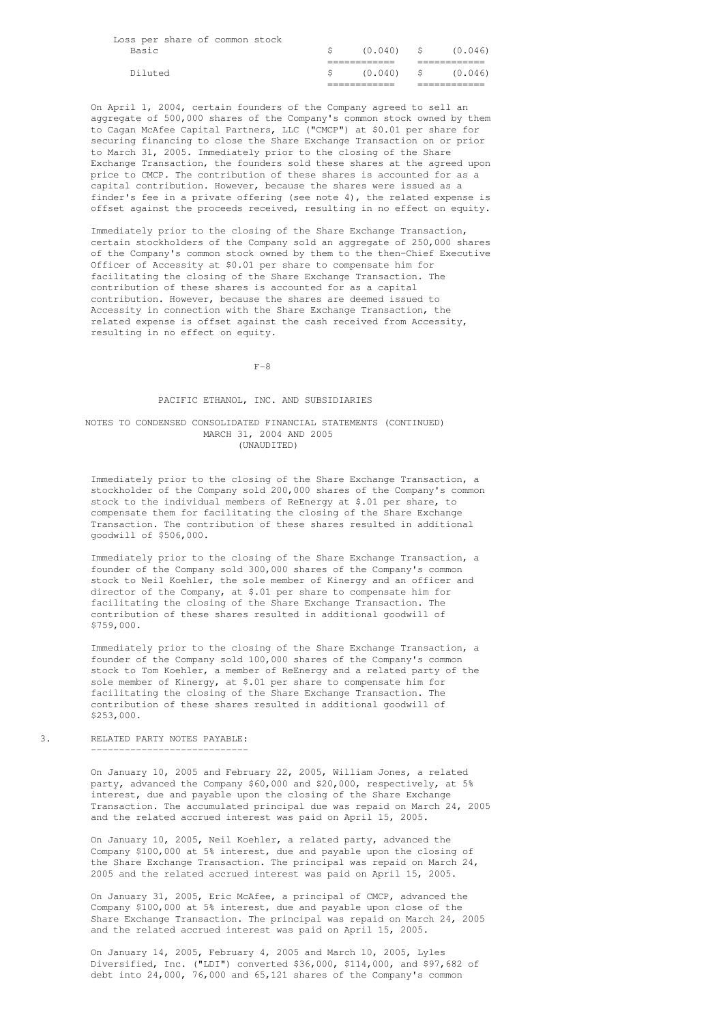| Loss per share of common stock |  |              |         |
|--------------------------------|--|--------------|---------|
| Basic                          |  | $(0.040)$ \$ | (0.046) |
|                                |  |              |         |
| Diluted                        |  | (0.040) \$   | (0.046) |
|                                |  |              |         |

On April 1, 2004, certain founders of the Company agreed to sell an aggregate of 500,000 shares of the Company's common stock owned by them to Cagan McAfee Capital Partners, LLC ("CMCP") at \$0.01 per share for securing financing to close the Share Exchange Transaction on or prior to March 31, 2005. Immediately prior to the closing of the Share Exchange Transaction, the founders sold these shares at the agreed upon price to CMCP. The contribution of these shares is accounted for as a capital contribution. However, because the shares were issued as a finder's fee in a private offering (see note 4), the related expense is offset against the proceeds received, resulting in no effect on equity.

Immediately prior to the closing of the Share Exchange Transaction, certain stockholders of the Company sold an aggregate of 250,000 shares of the Company's common stock owned by them to the then-Chief Executive Officer of Accessity at \$0.01 per share to compensate him for facilitating the closing of the Share Exchange Transaction. The contribution of these shares is accounted for as a capital contribution. However, because the shares are deemed issued to Accessity in connection with the Share Exchange Transaction, the related expense is offset against the cash received from Accessity, resulting in no effect on equity.

 $F-8$ 

### PACIFIC ETHANOL, INC. AND SUBSIDIARIES

### NOTES TO CONDENSED CONSOLIDATED FINANCIAL STATEMENTS (CONTINUED) MARCH 31, 2004 AND 2005 (UNAUDITED)

Immediately prior to the closing of the Share Exchange Transaction, a stockholder of the Company sold 200,000 shares of the Company's common stock to the individual members of ReEnergy at \$.01 per share, to compensate them for facilitating the closing of the Share Exchange Transaction. The contribution of these shares resulted in additional goodwill of \$506,000.

Immediately prior to the closing of the Share Exchange Transaction, a founder of the Company sold 300,000 shares of the Company's common stock to Neil Koehler, the sole member of Kinergy and an officer and director of the Company, at \$.01 per share to compensate him for facilitating the closing of the Share Exchange Transaction. The contribution of these shares resulted in additional goodwill of \$759,000.

Immediately prior to the closing of the Share Exchange Transaction, a founder of the Company sold 100,000 shares of the Company's common stock to Tom Koehler, a member of ReEnergy and a related party of the sole member of Kinergy, at \$.01 per share to compensate him for facilitating the closing of the Share Exchange Transaction. The contribution of these shares resulted in additional goodwill of \$253,000.

# 3. RELATED PARTY NOTES PAYABLE: ----------------------------

On January 10, 2005 and February 22, 2005, William Jones, a related party, advanced the Company \$60,000 and \$20,000, respectively, at 5% interest, due and payable upon the closing of the Share Exchange Transaction. The accumulated principal due was repaid on March 24, 2005 and the related accrued interest was paid on April 15, 2005.

On January 10, 2005, Neil Koehler, a related party, advanced the Company \$100,000 at 5% interest, due and payable upon the closing of the Share Exchange Transaction. The principal was repaid on March 24, 2005 and the related accrued interest was paid on April 15, 2005.

On January 31, 2005, Eric McAfee, a principal of CMCP, advanced the Company \$100,000 at 5% interest, due and payable upon close of the Share Exchange Transaction. The principal was repaid on March 24, 2005 and the related accrued interest was paid on April 15, 2005.

On January 14, 2005, February 4, 2005 and March 10, 2005, Lyles Diversified, Inc. ("LDI") converted \$36,000, \$114,000, and \$97,682 of debt into 24,000, 76,000 and 65,121 shares of the Company's common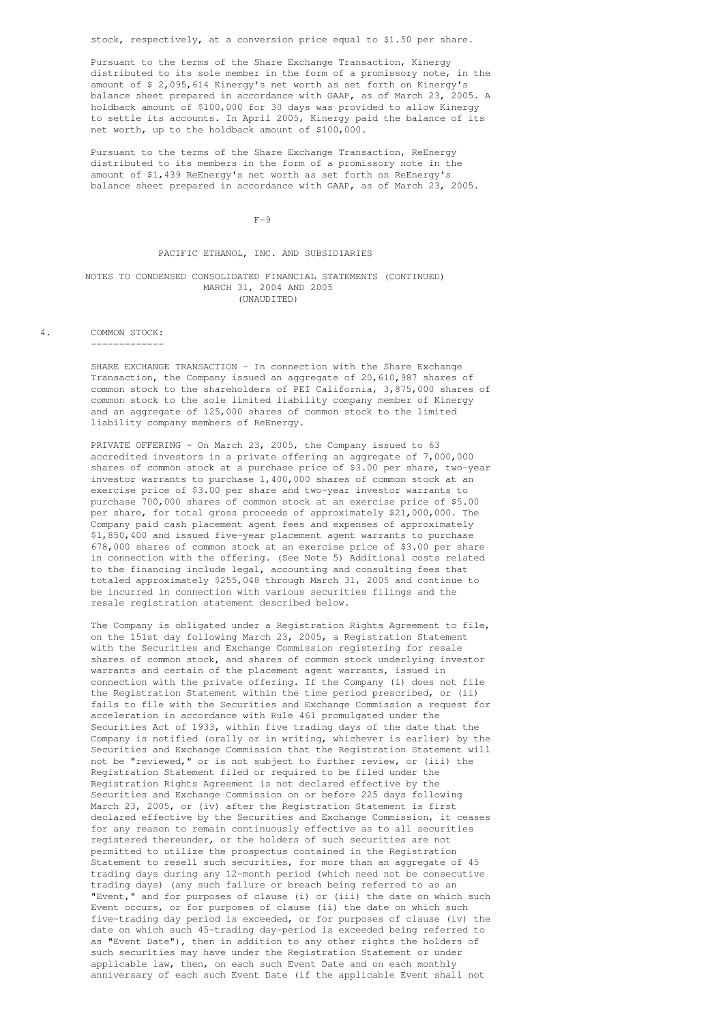stock, respectively, at a conversion price equal to \$1.50 per share.

Pursuant to the terms of the Share Exchange Transaction, Kinergy distributed to its sole member in the form of a promissory note, in the amount of \$ 2,095,614 Kinergy's net worth as set forth on Kinergy's balance sheet prepared in accordance with GAAP, as of March 23, 2005. A holdback amount of \$100,000 for 30 days was provided to allow Kinergy to settle its accounts. In April 2005, Kinergy paid the balance of its net worth, up to the holdback amount of \$100,000.

Pursuant to the terms of the Share Exchange Transaction, ReEnergy distributed to its members in the form of a promissory note in the amount of \$1,439 ReEnergy's net worth as set forth on ReEnergy's balance sheet prepared in accordance with GAAP, as of March 23, 2005.

 $F-9$ 

### PACIFIC ETHANOL, INC. AND SUBSIDIARIES

### NOTES TO CONDENSED CONSOLIDATED FINANCIAL STATEMENTS (CONTINUED) MARCH 31, 2004 AND 2005 (UNAUDITED)

4. COMMON STOCK:

-------------

SHARE EXCHANGE TRANSACTION - In connection with the Share Exchange Transaction, the Company issued an aggregate of 20,610,987 shares of common stock to the shareholders of PEI California, 3,875,000 shares of common stock to the sole limited liability company member of Kinergy and an aggregate of 125,000 shares of common stock to the limited liability company members of ReEnergy.

PRIVATE OFFERING - On March 23, 2005, the Company issued to 63 accredited investors in a private offering an aggregate of 7,000,000 shares of common stock at a purchase price of \$3.00 per share, two-year investor warrants to purchase 1,400,000 shares of common stock at an exercise price of \$3.00 per share and two-year investor warrants to purchase 700,000 shares of common stock at an exercise price of \$5.00 per share, for total gross proceeds of approximately \$21,000,000. The Company paid cash placement agent fees and expenses of approximately \$1,850,400 and issued five-year placement agent warrants to purchase 678,000 shares of common stock at an exercise price of \$3.00 per share in connection with the offering. (See Note 5) Additional costs related to the financing include legal, accounting and consulting fees that totaled approximately \$255,048 through March 31, 2005 and continue to be incurred in connection with various securities filings and the resale registration statement described below.

The Company is obligated under a Registration Rights Agreement to file, on the 151st day following March 23, 2005, a Registration Statement with the Securities and Exchange Commission registering for resale shares of common stock, and shares of common stock underlying investor warrants and certain of the placement agent warrants, issued in connection with the private offering. If the Company (i) does not file the Registration Statement within the time period prescribed, or (ii) fails to file with the Securities and Exchange Commission a request for acceleration in accordance with Rule 461 promulgated under the Securities Act of 1933, within five trading days of the date that the Company is notified (orally or in writing, whichever is earlier) by the Securities and Exchange Commission that the Registration Statement will not be "reviewed," or is not subject to further review, or (iii) the Registration Statement filed or required to be filed under the Registration Rights Agreement is not declared effective by the Securities and Exchange Commission on or before 225 days following March 23, 2005, or (iv) after the Registration Statement is first declared effective by the Securities and Exchange Commission, it ceases for any reason to remain continuously effective as to all securities registered thereunder, or the holders of such securities are not permitted to utilize the prospectus contained in the Registration Statement to resell such securities, for more than an aggregate of 45 trading days during any 12-month period (which need not be consecutive trading days) (any such failure or breach being referred to as an "Event," and for purposes of clause (i) or (iii) the date on which such Event occurs, or for purposes of clause (ii) the date on which such five-trading day period is exceeded, or for purposes of clause (iv) the date on which such 45-trading day-period is exceeded being referred to as "Event Date"), then in addition to any other rights the holders of such securities may have under the Registration Statement or under applicable law, then, on each such Event Date and on each monthly anniversary of each such Event Date (if the applicable Event shall not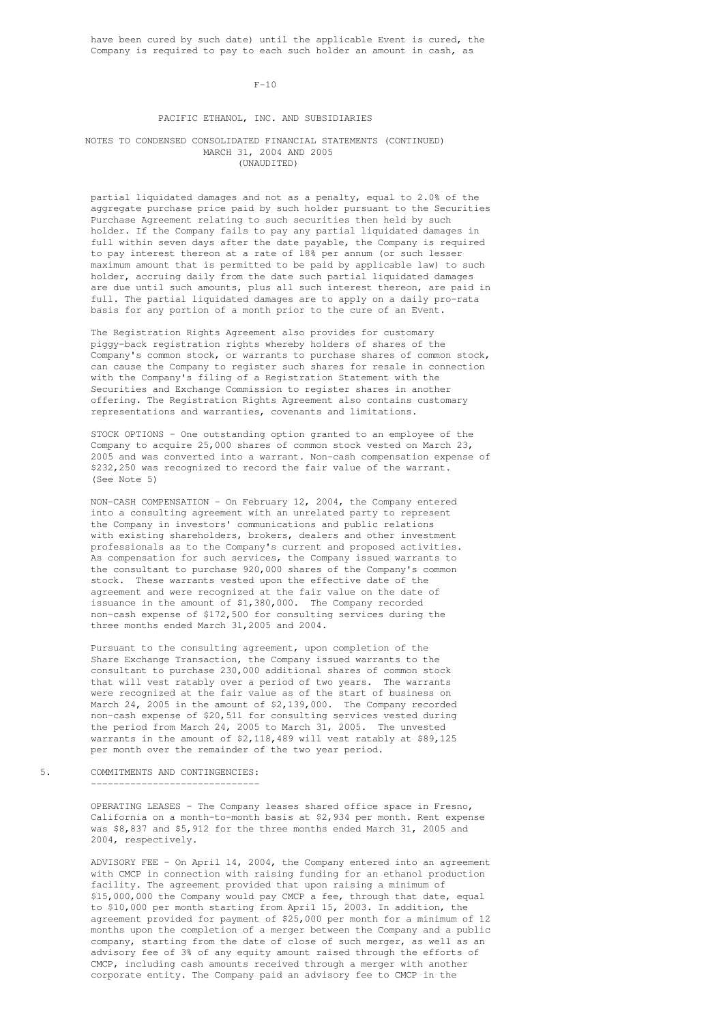have been cured by such date) until the applicable Event is cured, the Company is required to pay to each such holder an amount in cash, as

# $F-10$

#### PACIFIC ETHANOL, INC. AND SUBSIDIARIES

### NOTES TO CONDENSED CONSOLIDATED FINANCIAL STATEMENTS (CONTINUED) MARCH 31, 2004 AND 2005 (UNAUDITED)

partial liquidated damages and not as a penalty, equal to 2.0% of the aggregate purchase price paid by such holder pursuant to the Securities Purchase Agreement relating to such securities then held by such holder. If the Company fails to pay any partial liquidated damages in full within seven days after the date payable, the Company is required to pay interest thereon at a rate of 18% per annum (or such lesser maximum amount that is permitted to be paid by applicable law) to such holder, accruing daily from the date such partial liquidated damages are due until such amounts, plus all such interest thereon, are paid in full. The partial liquidated damages are to apply on a daily pro-rata basis for any portion of a month prior to the cure of an Event.

The Registration Rights Agreement also provides for customary piggy-back registration rights whereby holders of shares of the Company's common stock, or warrants to purchase shares of common stock, can cause the Company to register such shares for resale in connection with the Company's filing of a Registration Statement with the Securities and Exchange Commission to register shares in another offering. The Registration Rights Agreement also contains customary representations and warranties, covenants and limitations.

STOCK OPTIONS - One outstanding option granted to an employee of the Company to acquire 25,000 shares of common stock vested on March 23, 2005 and was converted into a warrant. Non-cash compensation expense of \$232,250 was recognized to record the fair value of the warrant. (See Note 5)

NON-CASH COMPENSATION - On February 12, 2004, the Company entered into a consulting agreement with an unrelated party to represent the Company in investors' communications and public relations with existing shareholders, brokers, dealers and other investment professionals as to the Company's current and proposed activities. As compensation for such services, the Company issued warrants to the consultant to purchase 920,000 shares of the Company's common stock. These warrants vested upon the effective date of the agreement and were recognized at the fair value on the date of issuance in the amount of \$1,380,000. The Company recorded non-cash expense of \$172,500 for consulting services during the three months ended March 31,2005 and 2004.

Pursuant to the consulting agreement, upon completion of the Share Exchange Transaction, the Company issued warrants to the consultant to purchase 230,000 additional shares of common stock that will vest ratably over a period of two years. The warrants were recognized at the fair value as of the start of business on March 24, 2005 in the amount of \$2,139,000. The Company recorded non-cash expense of \$20,511 for consulting services vested during the period from March 24, 2005 to March 31, 2005. The unvested warrants in the amount of \$2,118,489 will vest ratably at \$89,125 per month over the remainder of the two year period.

5. COMMITMENTS AND CONTINGENCIES: ------------------------------

> OPERATING LEASES - The Company leases shared office space in Fresno, California on a month-to-month basis at \$2,934 per month. Rent expense was \$8,837 and \$5,912 for the three months ended March 31, 2005 and 2004, respectively.

ADVISORY FEE - On April 14, 2004, the Company entered into an agreement with CMCP in connection with raising funding for an ethanol production facility. The agreement provided that upon raising a minimum of \$15,000,000 the Company would pay CMCP a fee, through that date, equal to \$10,000 per month starting from April 15, 2003. In addition, the agreement provided for payment of \$25,000 per month for a minimum of 12 months upon the completion of a merger between the Company and a public company, starting from the date of close of such merger, as well as an advisory fee of 3% of any equity amount raised through the efforts of CMCP, including cash amounts received through a merger with another corporate entity. The Company paid an advisory fee to CMCP in the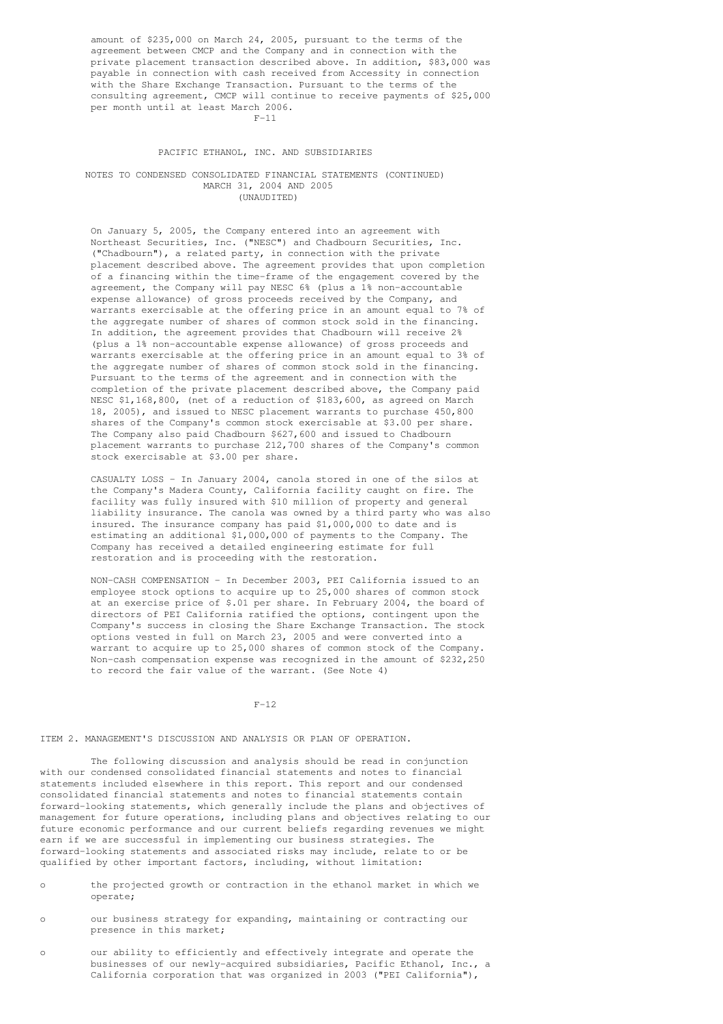amount of \$235,000 on March 24, 2005, pursuant to the terms of the agreement between CMCP and the Company and in connection with the private placement transaction described above. In addition, \$83,000 was payable in connection with cash received from Accessity in connection with the Share Exchange Transaction. Pursuant to the terms of the consulting agreement, CMCP will continue to receive payments of \$25,000 per month until at least March 2006.  $F - 11$ 

### PACIFIC ETHANOL, INC. AND SUBSIDIARIES

### NOTES TO CONDENSED CONSOLIDATED FINANCIAL STATEMENTS (CONTINUED) MARCH 31, 2004 AND 2005 (UNAUDITED)

On January 5, 2005, the Company entered into an agreement with Northeast Securities, Inc. ("NESC") and Chadbourn Securities, Inc. ("Chadbourn"), a related party, in connection with the private placement described above. The agreement provides that upon completion of a financing within the time-frame of the engagement covered by the agreement, the Company will pay NESC 6% (plus a 1% non-accountable expense allowance) of gross proceeds received by the Company, and warrants exercisable at the offering price in an amount equal to 7% of the aggregate number of shares of common stock sold in the financing. In addition, the agreement provides that Chadbourn will receive 2% (plus a 1% non-accountable expense allowance) of gross proceeds and warrants exercisable at the offering price in an amount equal to 3% of the aggregate number of shares of common stock sold in the financing. Pursuant to the terms of the agreement and in connection with the completion of the private placement described above, the Company paid NESC \$1,168,800, (net of a reduction of \$183,600, as agreed on March 18, 2005), and issued to NESC placement warrants to purchase 450,800 shares of the Company's common stock exercisable at \$3.00 per share. The Company also paid Chadbourn \$627,600 and issued to Chadbourn placement warrants to purchase 212,700 shares of the Company's common stock exercisable at \$3.00 per share.

CASUALTY LOSS - In January 2004, canola stored in one of the silos at the Company's Madera County, California facility caught on fire. The facility was fully insured with \$10 million of property and general liability insurance. The canola was owned by a third party who was also insured. The insurance company has paid \$1,000,000 to date and is estimating an additional \$1,000,000 of payments to the Company. The Company has received a detailed engineering estimate for full restoration and is proceeding with the restoration.

NON-CASH COMPENSATION - In December 2003, PEI California issued to an employee stock options to acquire up to 25,000 shares of common stock at an exercise price of \$.01 per share. In February 2004, the board of directors of PEI California ratified the options, contingent upon the Company's success in closing the Share Exchange Transaction. The stock options vested in full on March 23, 2005 and were converted into a warrant to acquire up to 25,000 shares of common stock of the Company. Non-cash compensation expense was recognized in the amount of \$232,250 to record the fair value of the warrant. (See Note 4)

### $F-12$

### ITEM 2. MANAGEMENT'S DISCUSSION AND ANALYSIS OR PLAN OF OPERATION.

The following discussion and analysis should be read in conjunction with our condensed consolidated financial statements and notes to financial statements included elsewhere in this report. This report and our condensed consolidated financial statements and notes to financial statements contain forward-looking statements, which generally include the plans and objectives of management for future operations, including plans and objectives relating to our future economic performance and our current beliefs regarding revenues we might earn if we are successful in implementing our business strategies. The forward-looking statements and associated risks may include, relate to or be qualified by other important factors, including, without limitation:

- o the projected growth or contraction in the ethanol market in which we operate;
- o our business strategy for expanding, maintaining or contracting our presence in this market;
- o our ability to efficiently and effectively integrate and operate the businesses of our newly-acquired subsidiaries, Pacific Ethanol, Inc., a California corporation that was organized in 2003 ("PEI California"),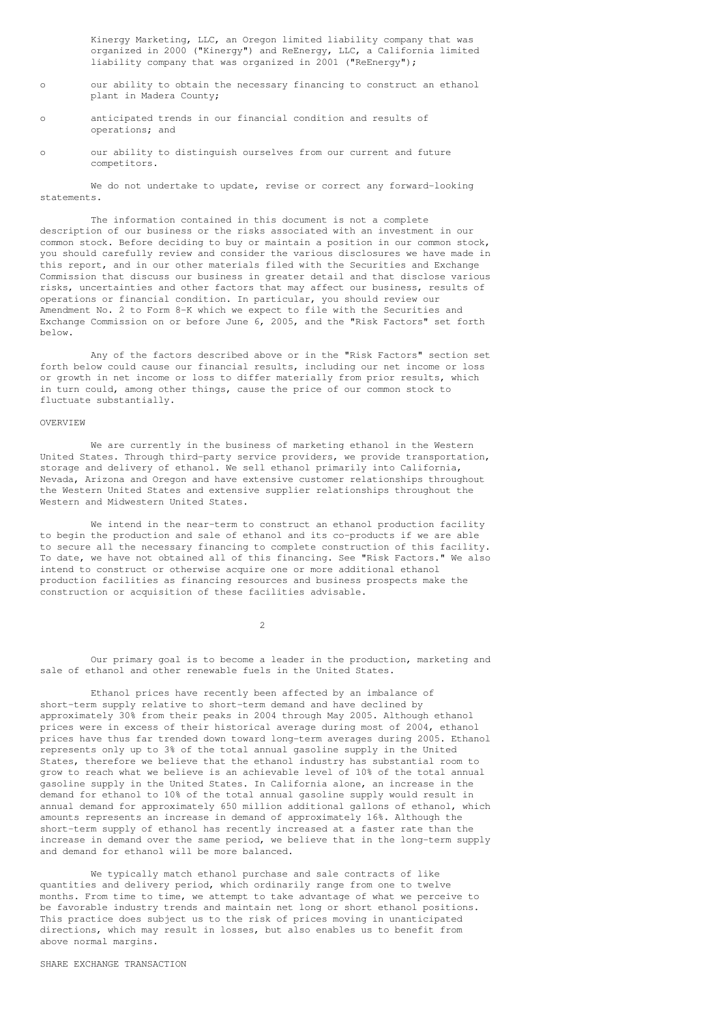Kinergy Marketing, LLC, an Oregon limited liability company that was organized in 2000 ("Kinergy") and ReEnergy, LLC, a California limited liability company that was organized in 2001 ("ReEnergy");

- o our ability to obtain the necessary financing to construct an ethanol plant in Madera County;
- o anticipated trends in our financial condition and results of operations; and
- o our ability to distinguish ourselves from our current and future competitors.

We do not undertake to update, revise or correct any forward-looking statements.

The information contained in this document is not a complete description of our business or the risks associated with an investment in our common stock. Before deciding to buy or maintain a position in our common stock, you should carefully review and consider the various disclosures we have made in this report, and in our other materials filed with the Securities and Exchange Commission that discuss our business in greater detail and that disclose various risks, uncertainties and other factors that may affect our business, results of operations or financial condition. In particular, you should review our Amendment No. 2 to Form 8-K which we expect to file with the Securities and Exchange Commission on or before June 6, 2005, and the "Risk Factors" set forth below.

Any of the factors described above or in the "Risk Factors" section set forth below could cause our financial results, including our net income or loss or growth in net income or loss to differ materially from prior results, which in turn could, among other things, cause the price of our common stock to fluctuate substantially.

#### OVERVIEW

We are currently in the business of marketing ethanol in the Western United States. Through third-party service providers, we provide transportation, storage and delivery of ethanol. We sell ethanol primarily into California, Nevada, Arizona and Oregon and have extensive customer relationships throughout the Western United States and extensive supplier relationships throughout the Western and Midwestern United States.

We intend in the near-term to construct an ethanol production facility to begin the production and sale of ethanol and its co-products if we are able to secure all the necessary financing to complete construction of this facility. To date, we have not obtained all of this financing. See "Risk Factors." We also intend to construct or otherwise acquire one or more additional ethanol production facilities as financing resources and business prospects make the construction or acquisition of these facilities advisable.

 $\overline{2}$ 

Our primary goal is to become a leader in the production, marketing and sale of ethanol and other renewable fuels in the United States.

Ethanol prices have recently been affected by an imbalance of short-term supply relative to short-term demand and have declined by approximately 30% from their peaks in 2004 through May 2005. Although ethanol prices were in excess of their historical average during most of 2004, ethanol prices have thus far trended down toward long-term averages during 2005. Ethanol represents only up to 3% of the total annual gasoline supply in the United States, therefore we believe that the ethanol industry has substantial room to grow to reach what we believe is an achievable level of 10% of the total annual gasoline supply in the United States. In California alone, an increase in the demand for ethanol to 10% of the total annual gasoline supply would result in annual demand for approximately 650 million additional gallons of ethanol, which amounts represents an increase in demand of approximately 16%. Although the short-term supply of ethanol has recently increased at a faster rate than the increase in demand over the same period, we believe that in the long-term supply and demand for ethanol will be more balanced.

We typically match ethanol purchase and sale contracts of like quantities and delivery period, which ordinarily range from one to twelve months. From time to time, we attempt to take advantage of what we perceive to be favorable industry trends and maintain net long or short ethanol positions. This practice does subject us to the risk of prices moving in unanticipated directions, which may result in losses, but also enables us to benefit from above normal margins.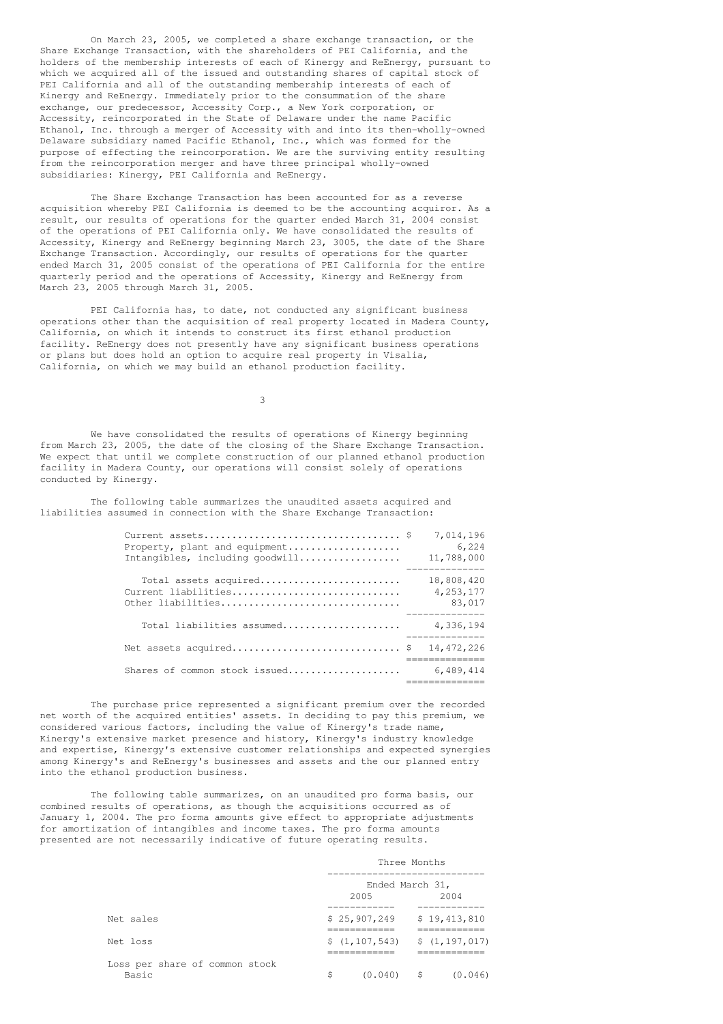On March 23, 2005, we completed a share exchange transaction, or the Share Exchange Transaction, with the shareholders of PEI California, and the holders of the membership interests of each of Kinergy and ReEnergy, pursuant to which we acquired all of the issued and outstanding shares of capital stock of PEI California and all of the outstanding membership interests of each of Kinergy and ReEnergy. Immediately prior to the consummation of the share exchange, our predecessor, Accessity Corp., a New York corporation, or Accessity, reincorporated in the State of Delaware under the name Pacific Ethanol, Inc. through a merger of Accessity with and into its then-wholly-owned Delaware subsidiary named Pacific Ethanol, Inc., which was formed for the purpose of effecting the reincorporation. We are the surviving entity resulting from the reincorporation merger and have three principal wholly-owned subsidiaries: Kinergy, PEI California and ReEnergy.

The Share Exchange Transaction has been accounted for as a reverse acquisition whereby PEI California is deemed to be the accounting acquiror. As a result, our results of operations for the quarter ended March 31, 2004 consist of the operations of PEI California only. We have consolidated the results of Accessity, Kinergy and ReEnergy beginning March 23, 3005, the date of the Share Exchange Transaction. Accordingly, our results of operations for the quarter ended March 31, 2005 consist of the operations of PEI California for the entire quarterly period and the operations of Accessity, Kinergy and ReEnergy from March 23, 2005 through March 31, 2005.

PEI California has, to date, not conducted any significant business operations other than the acquisition of real property located in Madera County, California, on which it intends to construct its first ethanol production facility. ReEnergy does not presently have any significant business operations or plans but does hold an option to acquire real property in Visalia, California, on which we may build an ethanol production facility.

3

We have consolidated the results of operations of Kinergy beginning from March 23, 2005, the date of the closing of the Share Exchange Transaction. We expect that until we complete construction of our planned ethanol production facility in Madera County, our operations will consist solely of operations conducted by Kinergy.

The following table summarizes the unaudited assets acquired and liabilities assumed in connection with the Share Exchange Transaction:

|                                 | 7.014.196                     |
|---------------------------------|-------------------------------|
| Property, plant and equipment   | 6,224                         |
| Intangibles, including goodwill | 11,788,000<br>-------------   |
| Total assets acquired           | 18,808,420                    |
| Current liabilities             | 4.253.177                     |
| Other liabilities               | 83,017<br>------------        |
| Total liabilities assumed       | 4,336,194                     |
|                                 | 14,472,226<br>--------------- |
| Shares of common stock issued   | 6,489,414                     |
|                                 |                               |

The purchase price represented a significant premium over the recorded net worth of the acquired entities' assets. In deciding to pay this premium, we considered various factors, including the value of Kinergy's trade name, Kinergy's extensive market presence and history, Kinergy's industry knowledge and expertise, Kinergy's extensive customer relationships and expected synergies among Kinergy's and ReEnergy's businesses and assets and the our planned entry into the ethanol production business.

The following table summarizes, on an unaudited pro forma basis, our combined results of operations, as though the acquisitions occurred as of January 1, 2004. The pro forma amounts give effect to appropriate adjustments for amortization of intangibles and income taxes. The pro forma amounts presented are not necessarily indicative of future operating results.

|                                         | Three Months                    |                                                     |  |
|-----------------------------------------|---------------------------------|-----------------------------------------------------|--|
|                                         | Ended March 31,<br>2004<br>2005 |                                                     |  |
| Net sales                               | \$25,907,249                    | \$19,413,810                                        |  |
| Net loss                                |                                 | $\frac{1}{2}$ (1,107,543) $\frac{1}{2}$ (1,197,017) |  |
| Loss per share of common stock<br>Basic | Ŝ<br>$(0.040)$ \$               | (0.046)                                             |  |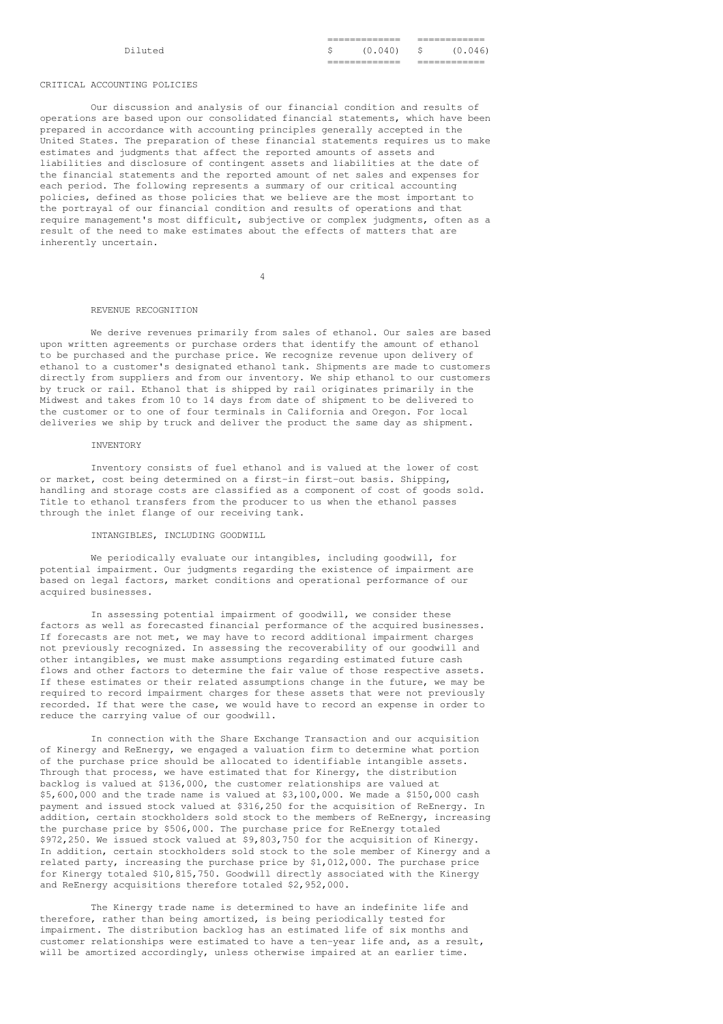|         |             | ____________<br>_____________  |             | _____________               |
|---------|-------------|--------------------------------|-------------|-----------------------------|
| Diluted | $\sim$<br>w | (0.040)                        | $\sim$<br>◡ | - 70 046                    |
|         |             | -------------<br>_____________ |             | __________<br>_____________ |

### CRITICAL ACCOUNTING POLICIES

Our discussion and analysis of our financial condition and results of operations are based upon our consolidated financial statements, which have been prepared in accordance with accounting principles generally accepted in the United States. The preparation of these financial statements requires us to make estimates and judgments that affect the reported amounts of assets and liabilities and disclosure of contingent assets and liabilities at the date of the financial statements and the reported amount of net sales and expenses for each period. The following represents a summary of our critical accounting policies, defined as those policies that we believe are the most important to the portrayal of our financial condition and results of operations and that require management's most difficult, subjective or complex judgments, often as a result of the need to make estimates about the effects of matters that are inherently uncertain.

4

#### REVENUE RECOGNITION

We derive revenues primarily from sales of ethanol. Our sales are based upon written agreements or purchase orders that identify the amount of ethanol to be purchased and the purchase price. We recognize revenue upon delivery of ethanol to a customer's designated ethanol tank. Shipments are made to customers directly from suppliers and from our inventory. We ship ethanol to our customers by truck or rail. Ethanol that is shipped by rail originates primarily in the Midwest and takes from 10 to 14 days from date of shipment to be delivered to the customer or to one of four terminals in California and Oregon. For local deliveries we ship by truck and deliver the product the same day as shipment.

#### INVENTORY

Inventory consists of fuel ethanol and is valued at the lower of cost or market, cost being determined on a first-in first-out basis. Shipping, handling and storage costs are classified as a component of cost of goods sold. Title to ethanol transfers from the producer to us when the ethanol passes through the inlet flange of our receiving tank.

#### INTANGIBLES, INCLUDING GOODWILL

We periodically evaluate our intangibles, including goodwill, for potential impairment. Our judgments regarding the existence of impairment are based on legal factors, market conditions and operational performance of our acquired businesses.

In assessing potential impairment of goodwill, we consider these factors as well as forecasted financial performance of the acquired businesses. If forecasts are not met, we may have to record additional impairment charges not previously recognized. In assessing the recoverability of our goodwill and other intangibles, we must make assumptions regarding estimated future cash flows and other factors to determine the fair value of those respective assets. If these estimates or their related assumptions change in the future, we may be required to record impairment charges for these assets that were not previously recorded. If that were the case, we would have to record an expense in order to reduce the carrying value of our goodwill.

In connection with the Share Exchange Transaction and our acquisition of Kinergy and ReEnergy, we engaged a valuation firm to determine what portion of the purchase price should be allocated to identifiable intangible assets. Through that process, we have estimated that for Kinergy, the distribution backlog is valued at \$136,000, the customer relationships are valued at \$5,600,000 and the trade name is valued at \$3,100,000. We made a \$150,000 cash payment and issued stock valued at \$316,250 for the acquisition of ReEnergy. In addition, certain stockholders sold stock to the members of ReEnergy, increasing the purchase price by \$506,000. The purchase price for ReEnergy totaled \$972,250. We issued stock valued at \$9,803,750 for the acquisition of Kinergy. In addition, certain stockholders sold stock to the sole member of Kinergy and a related party, increasing the purchase price by \$1,012,000. The purchase price for Kinergy totaled \$10,815,750. Goodwill directly associated with the Kinergy and ReEnergy acquisitions therefore totaled \$2,952,000.

The Kinergy trade name is determined to have an indefinite life and therefore, rather than being amortized, is being periodically tested for impairment. The distribution backlog has an estimated life of six months and customer relationships were estimated to have a ten-year life and, as a result, will be amortized accordingly, unless otherwise impaired at an earlier time.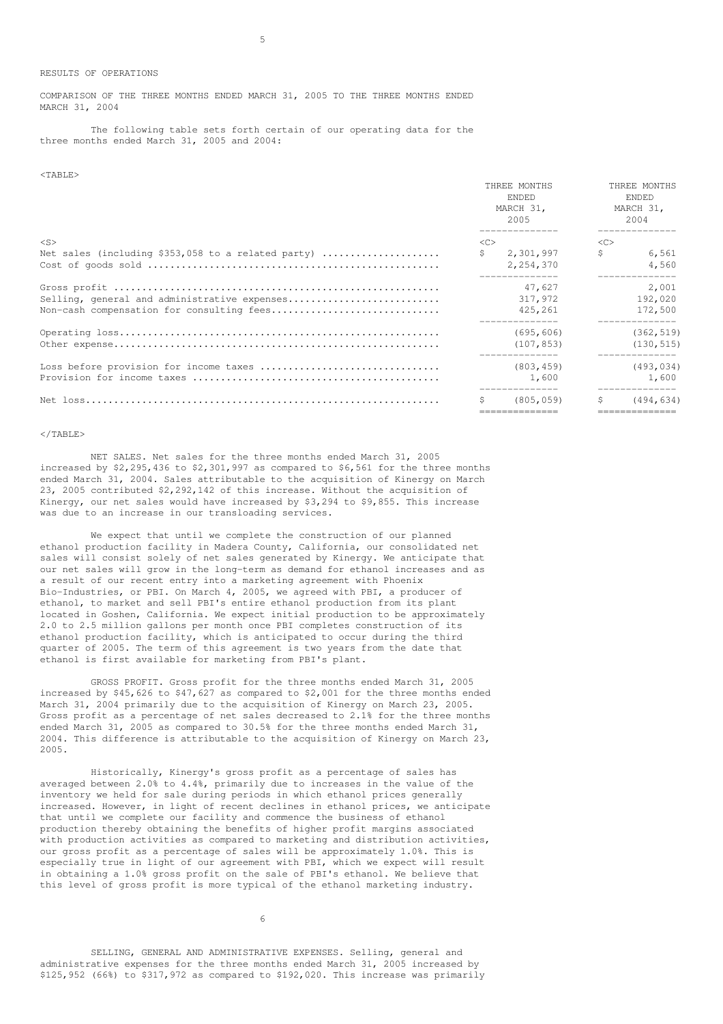#### RESULTS OF OPERATIONS

COMPARISON OF THE THREE MONTHS ENDED MARCH 31, 2005 TO THE THREE MONTHS ENDED MARCH 31, 2004

The following table sets forth certain of our operating data for the three months ended March 31, 2005 and 2004:

#### <TABLE>

| - - - - - - - - - -                                                                       |                    | THREE MONTHS<br><b>ENDED</b><br>MARCH 31.<br>2005 |          | THREE MONTHS<br>ENDED<br>MARCH 31,<br>2004 |
|-------------------------------------------------------------------------------------------|--------------------|---------------------------------------------------|----------|--------------------------------------------|
| $<$ S><br>Net sales (including \$353,058 to a related party)                              | <<<br>$\mathsf{S}$ | 2,301,997<br>2,254,370                            | <<<br>S. | 6,561<br>4,560                             |
| Selling, general and administrative expenses<br>Non-cash compensation for consulting fees |                    | 47,627<br>317,972<br>425,261                      |          | 2,001<br>192,020<br>172,500                |
|                                                                                           |                    | (695, 606)<br>(107, 853)                          |          | (362, 519)<br>(130, 515)                   |
| Loss before provision for income taxes                                                    |                    | (803, 459)<br>1,600                               |          | (493, 034)<br>1,600                        |
| Net                                                                                       | \$                 | (805, 059)<br>==============                      | S.       | (494, 634)                                 |

#### $\langle$ /TABLE>

NET SALES. Net sales for the three months ended March 31, 2005 increased by  $$2,295,436$  to  $$2,301,997$  as compared to  $$6,561$  for the three months ended March 31, 2004. Sales attributable to the acquisition of Kinergy on March 23, 2005 contributed \$2,292,142 of this increase. Without the acquisition of Kinergy, our net sales would have increased by \$3,294 to \$9,855. This increase was due to an increase in our transloading services.

We expect that until we complete the construction of our planned ethanol production facility in Madera County, California, our consolidated net sales will consist solely of net sales generated by Kinergy. We anticipate that our net sales will grow in the long-term as demand for ethanol increases and as a result of our recent entry into a marketing agreement with Phoenix Bio-Industries, or PBI. On March 4, 2005, we agreed with PBI, a producer of ethanol, to market and sell PBI's entire ethanol production from its plant located in Goshen, California. We expect initial production to be approximately 2.0 to 2.5 million gallons per month once PBI completes construction of its ethanol production facility, which is anticipated to occur during the third quarter of 2005. The term of this agreement is two years from the date that ethanol is first available for marketing from PBI's plant.

GROSS PROFIT. Gross profit for the three months ended March 31, 2005 increased by \$45,626 to \$47,627 as compared to \$2,001 for the three months ended March 31, 2004 primarily due to the acquisition of Kinergy on March 23, 2005. Gross profit as a percentage of net sales decreased to 2.1% for the three months ended March 31, 2005 as compared to 30.5% for the three months ended March 31, 2004. This difference is attributable to the acquisition of Kinergy on March 23, 2005.

Historically, Kinergy's gross profit as a percentage of sales has averaged between 2.0% to 4.4%, primarily due to increases in the value of the inventory we held for sale during periods in which ethanol prices generally increased. However, in light of recent declines in ethanol prices, we anticipate that until we complete our facility and commence the business of ethanol production thereby obtaining the benefits of higher profit margins associated with production activities as compared to marketing and distribution activities, our gross profit as a percentage of sales will be approximately 1.0%. This is especially true in light of our agreement with PBI, which we expect will result in obtaining a 1.0% gross profit on the sale of PBI's ethanol. We believe that this level of gross profit is more typical of the ethanol marketing industry.

SELLING, GENERAL AND ADMINISTRATIVE EXPENSES. Selling, general and administrative expenses for the three months ended March 31, 2005 increased by \$125,952 (66%) to \$317,972 as compared to \$192,020. This increase was primarily

#### 5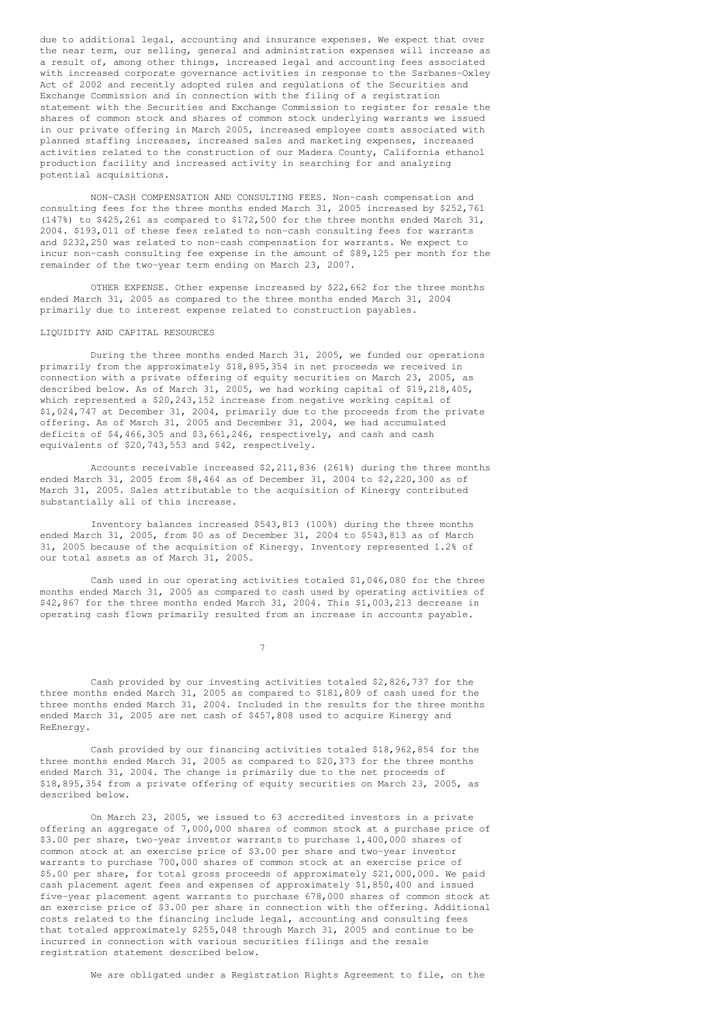due to additional legal, accounting and insurance expenses. We expect that over the near term, our selling, general and administration expenses will increase as a result of, among other things, increased legal and accounting fees associated with increased corporate governance activities in response to the Sarbanes-Oxley Act of 2002 and recently adopted rules and regulations of the Securities and Exchange Commission and in connection with the filing of a registration statement with the Securities and Exchange Commission to register for resale the shares of common stock and shares of common stock underlying warrants we issued in our private offering in March 2005, increased employee costs associated with planned staffing increases, increased sales and marketing expenses, increased activities related to the construction of our Madera County, California ethanol production facility and increased activity in searching for and analyzing potential acquisitions.

NON-CASH COMPENSATION AND CONSULTING FEES. Non-cash compensation and consulting fees for the three months ended March 31, 2005 increased by \$252,761 (147%) to \$425,261 as compared to \$172,500 for the three months ended March 31, 2004. \$193,011 of these fees related to non-cash consulting fees for warrants and \$232,250 was related to non-cash compensation for warrants. We expect to incur non-cash consulting fee expense in the amount of \$89,125 per month for the remainder of the two-year term ending on March 23, 2007.

OTHER EXPENSE. Other expense increased by \$22,662 for the three months ended March 31, 2005 as compared to the three months ended March 31, 2004 primarily due to interest expense related to construction payables.

#### LIQUIDITY AND CAPITAL RESOURCES

During the three months ended March 31, 2005, we funded our operations primarily from the approximately \$18,895,354 in net proceeds we received in connection with a private offering of equity securities on March 23, 2005, as described below. As of March 31, 2005, we had working capital of \$19,218,405, which represented a \$20,243,152 increase from negative working capital of \$1,024,747 at December 31, 2004, primarily due to the proceeds from the private offering. As of March 31, 2005 and December 31, 2004, we had accumulated deficits of \$4,466,305 and \$3,661,246, respectively, and cash and cash equivalents of \$20,743,553 and \$42, respectively.

Accounts receivable increased \$2,211,836 (261%) during the three months ended March 31, 2005 from \$8,464 as of December 31, 2004 to \$2,220,300 as of March 31, 2005. Sales attributable to the acquisition of Kinergy contributed substantially all of this increase.

Inventory balances increased \$543,813 (100%) during the three months ended March 31, 2005, from \$0 as of December 31, 2004 to \$543,813 as of March 31, 2005 because of the acquisition of Kinergy. Inventory represented 1.2% of our total assets as of March 31, 2005.

Cash used in our operating activities totaled \$1,046,080 for the three months ended March 31, 2005 as compared to cash used by operating activities of \$42,867 for the three months ended March 31, 2004. This \$1,003,213 decrease in operating cash flows primarily resulted from an increase in accounts payable.

7

Cash provided by our investing activities totaled \$2,826,737 for the three months ended March 31, 2005 as compared to \$181,809 of cash used for the three months ended March 31, 2004. Included in the results for the three months ended March 31, 2005 are net cash of \$457,808 used to acquire Kinergy and ReEnergy.

Cash provided by our financing activities totaled \$18,962,854 for the three months ended March 31, 2005 as compared to \$20,373 for the three months ended March 31, 2004. The change is primarily due to the net proceeds of \$18,895,354 from a private offering of equity securities on March 23, 2005, as described below.

On March 23, 2005, we issued to 63 accredited investors in a private offering an aggregate of 7,000,000 shares of common stock at a purchase price of \$3.00 per share, two-year investor warrants to purchase 1,400,000 shares of common stock at an exercise price of \$3.00 per share and two-year investor warrants to purchase 700,000 shares of common stock at an exercise price of \$5.00 per share, for total gross proceeds of approximately \$21,000,000. We paid cash placement agent fees and expenses of approximately \$1,850,400 and issued five-year placement agent warrants to purchase 678,000 shares of common stock at an exercise price of \$3.00 per share in connection with the offering. Additional costs related to the financing include legal, accounting and consulting fees that totaled approximately \$255,048 through March 31, 2005 and continue to be incurred in connection with various securities filings and the resale registration statement described below.

We are obligated under a Registration Rights Agreement to file, on the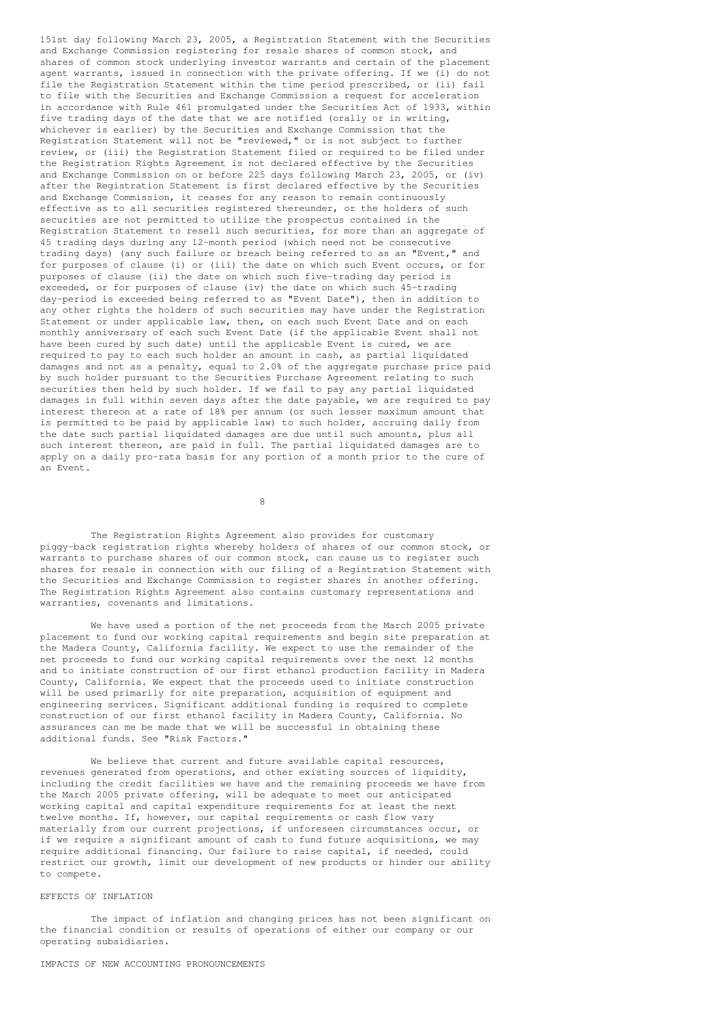151st day following March 23, 2005, a Registration Statement with the Securities and Exchange Commission registering for resale shares of common stock, and shares of common stock underlying investor warrants and certain of the placement agent warrants, issued in connection with the private offering. If we (i) do not file the Registration Statement within the time period prescribed, or (ii) fail to file with the Securities and Exchange Commission a request for acceleration in accordance with Rule 461 promulgated under the Securities Act of 1933, within five trading days of the date that we are notified (orally or in writing, whichever is earlier) by the Securities and Exchange Commission that the Registration Statement will not be "reviewed," or is not subject to further review, or (iii) the Registration Statement filed or required to be filed under the Registration Rights Agreement is not declared effective by the Securities and Exchange Commission on or before 225 days following March 23, 2005, or (iv) after the Registration Statement is first declared effective by the Securities and Exchange Commission, it ceases for any reason to remain continuously effective as to all securities registered thereunder, or the holders of such securities are not permitted to utilize the prospectus contained in the Registration Statement to resell such securities, for more than an aggregate of 45 trading days during any 12-month period (which need not be consecutive trading days) (any such failure or breach being referred to as an "Event," and for purposes of clause (i) or (iii) the date on which such Event occurs, or for purposes of clause (ii) the date on which such five-trading day period is exceeded, or for purposes of clause (iv) the date on which such 45-trading day-period is exceeded being referred to as "Event Date"), then in addition to any other rights the holders of such securities may have under the Registration Statement or under applicable law, then, on each such Event Date and on each monthly anniversary of each such Event Date (if the applicable Event shall not have been cured by such date) until the applicable Event is cured, we are required to pay to each such holder an amount in cash, as partial liquidated damages and not as a penalty, equal to 2.0% of the aggregate purchase price paid by such holder pursuant to the Securities Purchase Agreement relating to such securities then held by such holder. If we fail to pay any partial liquidated damages in full within seven days after the date payable, we are required to pay interest thereon at a rate of 18% per annum (or such lesser maximum amount that is permitted to be paid by applicable law) to such holder, accruing daily from the date such partial liquidated damages are due until such amounts, plus all such interest thereon, are paid in full. The partial liquidated damages are to apply on a daily pro-rata basis for any portion of a month prior to the cure of an Event.

8

The Registration Rights Agreement also provides for customary piggy-back registration rights whereby holders of shares of our common stock, or warrants to purchase shares of our common stock, can cause us to register such shares for resale in connection with our filing of a Registration Statement with the Securities and Exchange Commission to register shares in another offering. The Registration Rights Agreement also contains customary representations and warranties, covenants and limitations.

We have used a portion of the net proceeds from the March 2005 private placement to fund our working capital requirements and begin site preparation at the Madera County, California facility. We expect to use the remainder of the net proceeds to fund our working capital requirements over the next 12 months and to initiate construction of our first ethanol production facility in Madera County, California. We expect that the proceeds used to initiate construction will be used primarily for site preparation, acquisition of equipment and engineering services. Significant additional funding is required to complete construction of our first ethanol facility in Madera County, California. No assurances can me be made that we will be successful in obtaining these additional funds. See "Risk Factors."

We believe that current and future available capital resources, revenues generated from operations, and other existing sources of liquidity, including the credit facilities we have and the remaining proceeds we have from the March 2005 private offering, will be adequate to meet our anticipated working capital and capital expenditure requirements for at least the next twelve months. If, however, our capital requirements or cash flow vary materially from our current projections, if unforeseen circumstances occur, or if we require a significant amount of cash to fund future acquisitions, we may require additional financing. Our failure to raise capital, if needed, could restrict our growth, limit our development of new products or hinder our ability to compete.

### EFFECTS OF INFLATION

The impact of inflation and changing prices has not been significant on the financial condition or results of operations of either our company or our operating subsidiaries.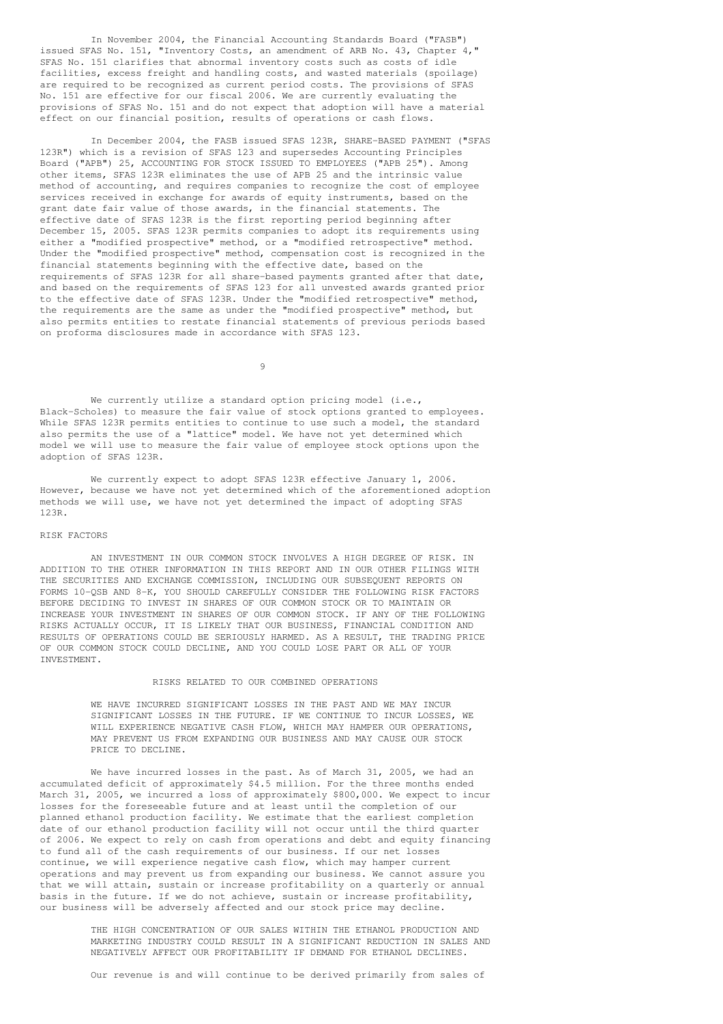In November 2004, the Financial Accounting Standards Board ("FASB") issued SFAS No. 151, "Inventory Costs, an amendment of ARB No. 43, Chapter 4," SFAS No. 151 clarifies that abnormal inventory costs such as costs of idle facilities, excess freight and handling costs, and wasted materials (spoilage) are required to be recognized as current period costs. The provisions of SFAS No. 151 are effective for our fiscal 2006. We are currently evaluating the provisions of SFAS No. 151 and do not expect that adoption will have a material effect on our financial position, results of operations or cash flows.

In December 2004, the FASB issued SFAS 123R, SHARE-BASED PAYMENT ("SFAS 123R") which is a revision of SFAS 123 and supersedes Accounting Principles Board ("APB") 25, ACCOUNTING FOR STOCK ISSUED TO EMPLOYEES ("APB 25"). Among other items, SFAS 123R eliminates the use of APB 25 and the intrinsic value method of accounting, and requires companies to recognize the cost of employee services received in exchange for awards of equity instruments, based on the grant date fair value of those awards, in the financial statements. The effective date of SFAS 123R is the first reporting period beginning after December 15, 2005. SFAS 123R permits companies to adopt its requirements using either a "modified prospective" method, or a "modified retrospective" method. Under the "modified prospective" method, compensation cost is recognized in the financial statements beginning with the effective date, based on the requirements of SFAS 123R for all share-based payments granted after that date, and based on the requirements of SFAS 123 for all unvested awards granted prior to the effective date of SFAS 123R. Under the "modified retrospective" method, the requirements are the same as under the "modified prospective" method, but also permits entities to restate financial statements of previous periods based on proforma disclosures made in accordance with SFAS 123.

 $\overline{9}$ 

We currently utilize a standard option pricing model  $(i.e.,$ Black-Scholes) to measure the fair value of stock options granted to employees. While SFAS 123R permits entities to continue to use such a model, the standard also permits the use of a "lattice" model. We have not yet determined which model we will use to measure the fair value of employee stock options upon the adoption of SFAS 123R.

We currently expect to adopt SFAS 123R effective January 1, 2006. However, because we have not yet determined which of the aforementioned adoption methods we will use, we have not yet determined the impact of adopting SFAS 123R.

#### RISK FACTORS

AN INVESTMENT IN OUR COMMON STOCK INVOLVES A HIGH DEGREE OF RISK. IN ADDITION TO THE OTHER INFORMATION IN THIS REPORT AND IN OUR OTHER FILINGS WITH THE SECURITIES AND EXCHANGE COMMISSION, INCLUDING OUR SUBSEQUENT REPORTS ON FORMS 10-QSB AND 8-K, YOU SHOULD CAREFULLY CONSIDER THE FOLLOWING RISK FACTORS BEFORE DECIDING TO INVEST IN SHARES OF OUR COMMON STOCK OR TO MAINTAIN OR INCREASE YOUR INVESTMENT IN SHARES OF OUR COMMON STOCK. IF ANY OF THE FOLLOWING RISKS ACTUALLY OCCUR, IT IS LIKELY THAT OUR BUSINESS, FINANCIAL CONDITION AND RESULTS OF OPERATIONS COULD BE SERIOUSLY HARMED. AS A RESULT, THE TRADING PRICE OF OUR COMMON STOCK COULD DECLINE, AND YOU COULD LOSE PART OR ALL OF YOUR INVESTMENT.

#### RISKS RELATED TO OUR COMBINED OPERATIONS

WE HAVE INCURRED SIGNIFICANT LOSSES IN THE PAST AND WE MAY INCUR SIGNIFICANT LOSSES IN THE FUTURE. IF WE CONTINUE TO INCUR LOSSES, WE WILL EXPERIENCE NEGATIVE CASH FLOW, WHICH MAY HAMPER OUR OPERATIONS, MAY PREVENT US FROM EXPANDING OUR BUSINESS AND MAY CAUSE OUR STOCK PRICE TO DECLINE.

We have incurred losses in the past. As of March 31, 2005, we had an accumulated deficit of approximately \$4.5 million. For the three months ended March 31, 2005, we incurred a loss of approximately \$800,000. We expect to incur losses for the foreseeable future and at least until the completion of our planned ethanol production facility. We estimate that the earliest completion date of our ethanol production facility will not occur until the third quarter of 2006. We expect to rely on cash from operations and debt and equity financing to fund all of the cash requirements of our business. If our net losses continue, we will experience negative cash flow, which may hamper current operations and may prevent us from expanding our business. We cannot assure you that we will attain, sustain or increase profitability on a quarterly or annual basis in the future. If we do not achieve, sustain or increase profitability, our business will be adversely affected and our stock price may decline.

> THE HIGH CONCENTRATION OF OUR SALES WITHIN THE ETHANOL PRODUCTION AND MARKETING INDUSTRY COULD RESULT IN A SIGNIFICANT REDUCTION IN SALES AND NEGATIVELY AFFECT OUR PROFITABILITY IF DEMAND FOR ETHANOL DECLINES.

Our revenue is and will continue to be derived primarily from sales of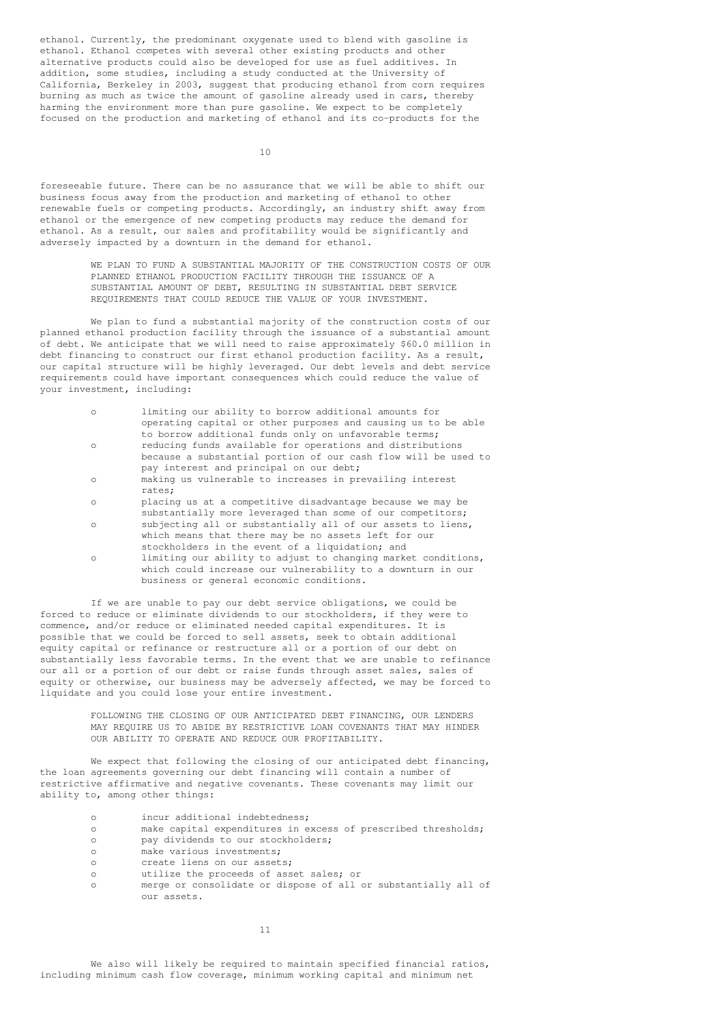ethanol. Currently, the predominant oxygenate used to blend with gasoline is ethanol. Ethanol competes with several other existing products and other alternative products could also be developed for use as fuel additives. In addition, some studies, including a study conducted at the University of California, Berkeley in 2003, suggest that producing ethanol from corn requires burning as much as twice the amount of gasoline already used in cars, thereby harming the environment more than pure gasoline. We expect to be completely focused on the production and marketing of ethanol and its co-products for the

10

foreseeable future. There can be no assurance that we will be able to shift our business focus away from the production and marketing of ethanol to other renewable fuels or competing products. Accordingly, an industry shift away from ethanol or the emergence of new competing products may reduce the demand for ethanol. As a result, our sales and profitability would be significantly and adversely impacted by a downturn in the demand for ethanol.

> WE PLAN TO FUND A SUBSTANTIAL MAJORITY OF THE CONSTRUCTION COSTS OF OUR PLANNED ETHANOL PRODUCTION FACILITY THROUGH THE ISSUANCE OF A SUBSTANTIAL AMOUNT OF DEBT, RESULTING IN SUBSTANTIAL DEBT SERVICE REQUIREMENTS THAT COULD REDUCE THE VALUE OF YOUR INVESTMENT.

We plan to fund a substantial majority of the construction costs of our planned ethanol production facility through the issuance of a substantial amount of debt. We anticipate that we will need to raise approximately \$60.0 million in debt financing to construct our first ethanol production facility. As a result, our capital structure will be highly leveraged. Our debt levels and debt service requirements could have important consequences which could reduce the value of your investment, including:

| $\circ$ | limiting our ability to borrow additional amounts for         |
|---------|---------------------------------------------------------------|
|         | operating capital or other purposes and causing us to be able |
|         | to borrow additional funds only on unfavorable terms;         |
| $\circ$ | reducing funds available for operations and distributions     |

- because a substantial portion of our cash flow will be used to pay interest and principal on our debt;
- o making us vulnerable to increases in prevailing interest rates;
- o placing us at a competitive disadvantage because we may be substantially more leveraged than some of our competitors;
- o subjecting all or substantially all of our assets to liens, which means that there may be no assets left for our stockholders in the event of a liquidation; and
- o limiting our ability to adjust to changing market conditions, which could increase our vulnerability to a downturn in our business or general economic conditions.

If we are unable to pay our debt service obligations, we could be forced to reduce or eliminate dividends to our stockholders, if they were to commence, and/or reduce or eliminated needed capital expenditures. It is possible that we could be forced to sell assets, seek to obtain additional equity capital or refinance or restructure all or a portion of our debt on substantially less favorable terms. In the event that we are unable to refinance our all or a portion of our debt or raise funds through asset sales, sales of equity or otherwise, our business may be adversely affected, we may be forced to liquidate and you could lose your entire investment.

> FOLLOWING THE CLOSING OF OUR ANTICIPATED DEBT FINANCING, OUR LENDERS MAY REQUIRE US TO ABIDE BY RESTRICTIVE LOAN COVENANTS THAT MAY HINDER OUR ABILITY TO OPERATE AND REDUCE OUR PROFITABILITY.

We expect that following the closing of our anticipated debt financing, the loan agreements governing our debt financing will contain a number of restrictive affirmative and negative covenants. These covenants may limit our ability to, among other things:

> o incur additional indebtedness; o make capital expenditures in excess of prescribed thresholds; o pay dividends to our stockholders; o make various investments; o create liens on our assets; o utilize the proceeds of asset sales; or o merge or consolidate or dispose of all or substantially all of our assets.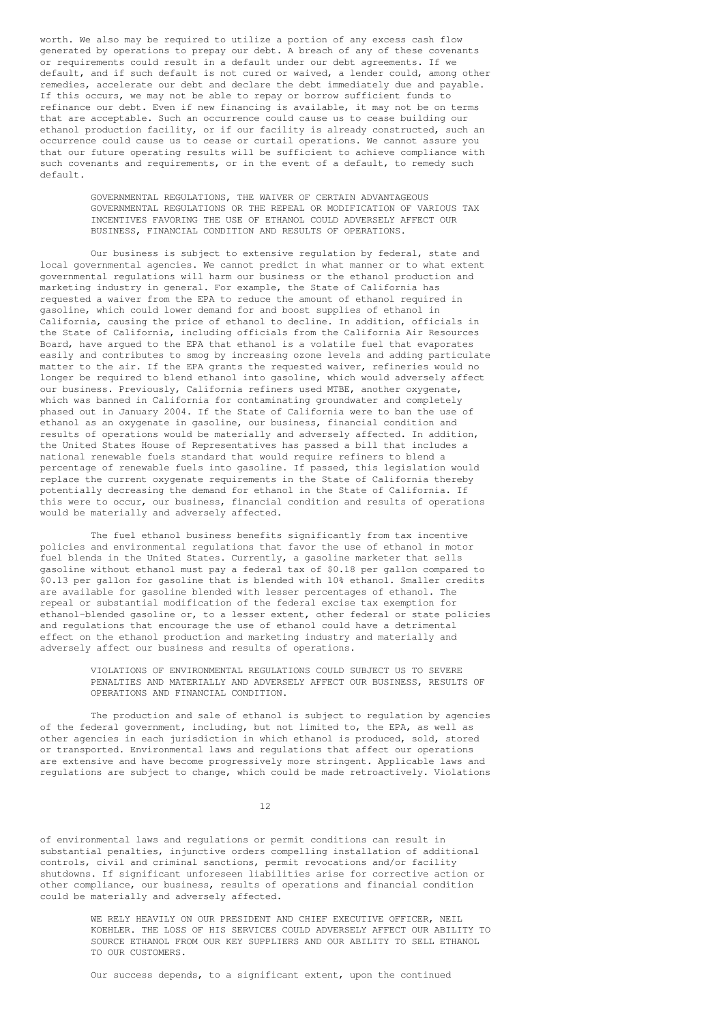worth. We also may be required to utilize a portion of any excess cash flow generated by operations to prepay our debt. A breach of any of these covenants or requirements could result in a default under our debt agreements. If we default, and if such default is not cured or waived, a lender could, among other remedies, accelerate our debt and declare the debt immediately due and payable. If this occurs, we may not be able to repay or borrow sufficient funds to refinance our debt. Even if new financing is available, it may not be on terms that are acceptable. Such an occurrence could cause us to cease building our ethanol production facility, or if our facility is already constructed, such an occurrence could cause us to cease or curtail operations. We cannot assure you that our future operating results will be sufficient to achieve compliance with such covenants and requirements, or in the event of a default, to remedy such default.

### GOVERNMENTAL REGULATIONS, THE WAIVER OF CERTAIN ADVANTAGEOUS GOVERNMENTAL REGULATIONS OR THE REPEAL OR MODIFICATION OF VARIOUS TAX INCENTIVES FAVORING THE USE OF ETHANOL COULD ADVERSELY AFFECT OUR BUSINESS, FINANCIAL CONDITION AND RESULTS OF OPERATIONS.

Our business is subject to extensive regulation by federal, state and local governmental agencies. We cannot predict in what manner or to what extent governmental regulations will harm our business or the ethanol production and marketing industry in general. For example, the State of California has requested a waiver from the EPA to reduce the amount of ethanol required in gasoline, which could lower demand for and boost supplies of ethanol in California, causing the price of ethanol to decline. In addition, officials in the State of California, including officials from the California Air Resources Board, have argued to the EPA that ethanol is a volatile fuel that evaporates easily and contributes to smog by increasing ozone levels and adding particulate matter to the air. If the EPA grants the requested waiver, refineries would no longer be required to blend ethanol into gasoline, which would adversely affect our business. Previously, California refiners used MTBE, another oxygenate, which was banned in California for contaminating groundwater and completely phased out in January 2004. If the State of California were to ban the use of ethanol as an oxygenate in gasoline, our business, financial condition and results of operations would be materially and adversely affected. In addition, the United States House of Representatives has passed a bill that includes a national renewable fuels standard that would require refiners to blend a percentage of renewable fuels into gasoline. If passed, this legislation would replace the current oxygenate requirements in the State of California thereby potentially decreasing the demand for ethanol in the State of California. If this were to occur, our business, financial condition and results of operations would be materially and adversely affected.

The fuel ethanol business benefits significantly from tax incentive policies and environmental regulations that favor the use of ethanol in motor fuel blends in the United States. Currently, a gasoline marketer that sells gasoline without ethanol must pay a federal tax of \$0.18 per gallon compared to \$0.13 per gallon for gasoline that is blended with 10% ethanol. Smaller credits are available for gasoline blended with lesser percentages of ethanol. The repeal or substantial modification of the federal excise tax exemption for ethanol-blended gasoline or, to a lesser extent, other federal or state policies and regulations that encourage the use of ethanol could have a detrimental effect on the ethanol production and marketing industry and materially and adversely affect our business and results of operations.

> VIOLATIONS OF ENVIRONMENTAL REGULATIONS COULD SUBJECT US TO SEVERE PENALTIES AND MATERIALLY AND ADVERSELY AFFECT OUR BUSINESS, RESULTS OF OPERATIONS AND FINANCIAL CONDITION.

The production and sale of ethanol is subject to regulation by agencies of the federal government, including, but not limited to, the EPA, as well as other agencies in each jurisdiction in which ethanol is produced, sold, stored or transported. Environmental laws and regulations that affect our operations are extensive and have become progressively more stringent. Applicable laws and regulations are subject to change, which could be made retroactively. Violations

12

of environmental laws and regulations or permit conditions can result in substantial penalties, injunctive orders compelling installation of additional controls, civil and criminal sanctions, permit revocations and/or facility shutdowns. If significant unforeseen liabilities arise for corrective action or other compliance, our business, results of operations and financial condition could be materially and adversely affected.

> WE RELY HEAVILY ON OUR PRESIDENT AND CHIEF EXECUTIVE OFFICER, NEIL KOEHLER. THE LOSS OF HIS SERVICES COULD ADVERSELY AFFECT OUR ABILITY TO SOURCE ETHANOL FROM OUR KEY SUPPLIERS AND OUR ABILITY TO SELL ETHANOL TO OUR CUSTOMERS.

Our success depends, to a significant extent, upon the continued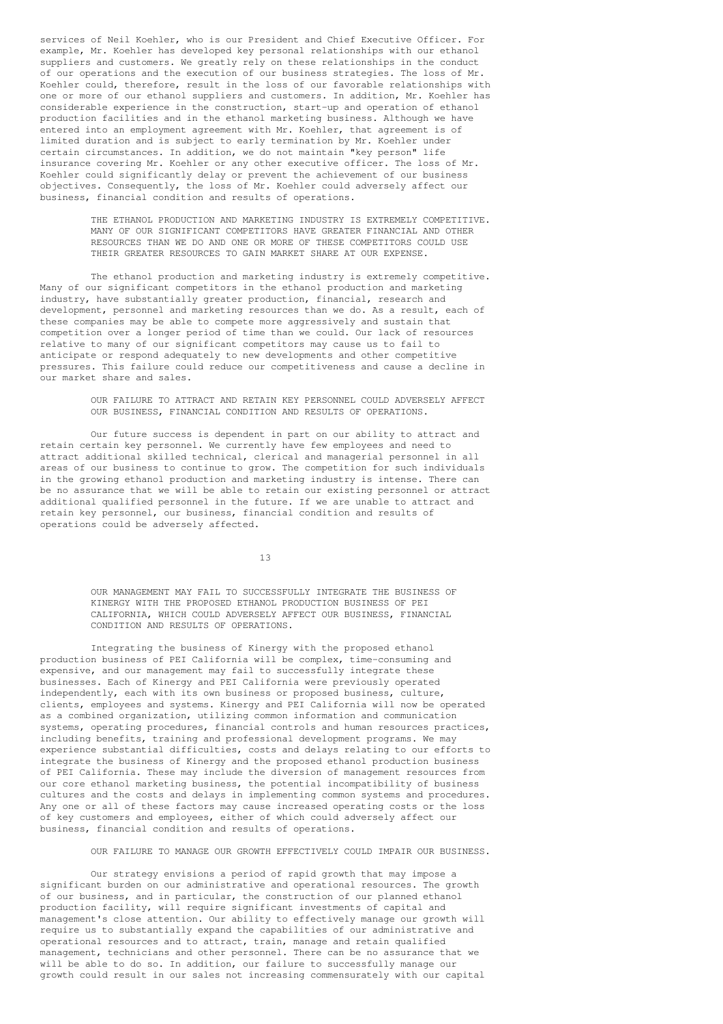services of Neil Koehler, who is our President and Chief Executive Officer. For example, Mr. Koehler has developed key personal relationships with our ethanol suppliers and customers. We greatly rely on these relationships in the conduct of our operations and the execution of our business strategies. The loss of Mr. Koehler could, therefore, result in the loss of our favorable relationships with one or more of our ethanol suppliers and customers. In addition, Mr. Koehler has considerable experience in the construction, start-up and operation of ethanol production facilities and in the ethanol marketing business. Although we have entered into an employment agreement with Mr. Koehler, that agreement is of limited duration and is subject to early termination by Mr. Koehler under certain circumstances. In addition, we do not maintain "key person" life insurance covering Mr. Koehler or any other executive officer. The loss of Mr. Koehler could significantly delay or prevent the achievement of our business objectives. Consequently, the loss of Mr. Koehler could adversely affect our business, financial condition and results of operations.

> THE ETHANOL PRODUCTION AND MARKETING INDUSTRY IS EXTREMELY COMPETITIVE. MANY OF OUR SIGNIFICANT COMPETITORS HAVE GREATER FINANCIAL AND OTHER RESOURCES THAN WE DO AND ONE OR MORE OF THESE COMPETITORS COULD USE THEIR GREATER RESOURCES TO GAIN MARKET SHARE AT OUR EXPENSE.

The ethanol production and marketing industry is extremely competitive. Many of our significant competitors in the ethanol production and marketing industry, have substantially greater production, financial, research and development, personnel and marketing resources than we do. As a result, each of these companies may be able to compete more aggressively and sustain that competition over a longer period of time than we could. Our lack of resources relative to many of our significant competitors may cause us to fail to anticipate or respond adequately to new developments and other competitive pressures. This failure could reduce our competitiveness and cause a decline in our market share and sales.

> OUR FAILURE TO ATTRACT AND RETAIN KEY PERSONNEL COULD ADVERSELY AFFECT OUR BUSINESS, FINANCIAL CONDITION AND RESULTS OF OPERATIONS.

Our future success is dependent in part on our ability to attract and retain certain key personnel. We currently have few employees and need to attract additional skilled technical, clerical and managerial personnel in all areas of our business to continue to grow. The competition for such individuals in the growing ethanol production and marketing industry is intense. There can be no assurance that we will be able to retain our existing personnel or attract additional qualified personnel in the future. If we are unable to attract and retain key personnel, our business, financial condition and results of operations could be adversely affected.

13

OUR MANAGEMENT MAY FAIL TO SUCCESSFULLY INTEGRATE THE BUSINESS OF KINERGY WITH THE PROPOSED ETHANOL PRODUCTION BUSINESS OF PEI CALIFORNIA, WHICH COULD ADVERSELY AFFECT OUR BUSINESS, FINANCIAL CONDITION AND RESULTS OF OPERATIONS.

Integrating the business of Kinergy with the proposed ethanol production business of PEI California will be complex, time-consuming and expensive, and our management may fail to successfully integrate these businesses. Each of Kinergy and PEI California were previously operated independently, each with its own business or proposed business, culture, clients, employees and systems. Kinergy and PEI California will now be operated as a combined organization, utilizing common information and communication systems, operating procedures, financial controls and human resources practices, including benefits, training and professional development programs. We may experience substantial difficulties, costs and delays relating to our efforts to integrate the business of Kinergy and the proposed ethanol production business of PEI California. These may include the diversion of management resources from our core ethanol marketing business, the potential incompatibility of business cultures and the costs and delays in implementing common systems and procedures. Any one or all of these factors may cause increased operating costs or the loss of key customers and employees, either of which could adversely affect our business, financial condition and results of operations.

OUR FAILURE TO MANAGE OUR GROWTH EFFECTIVELY COULD IMPAIR OUR BUSINESS.

Our strategy envisions a period of rapid growth that may impose a significant burden on our administrative and operational resources. The growth of our business, and in particular, the construction of our planned ethanol production facility, will require significant investments of capital and management's close attention. Our ability to effectively manage our growth will require us to substantially expand the capabilities of our administrative and operational resources and to attract, train, manage and retain qualified management, technicians and other personnel. There can be no assurance that we will be able to do so. In addition, our failure to successfully manage our growth could result in our sales not increasing commensurately with our capital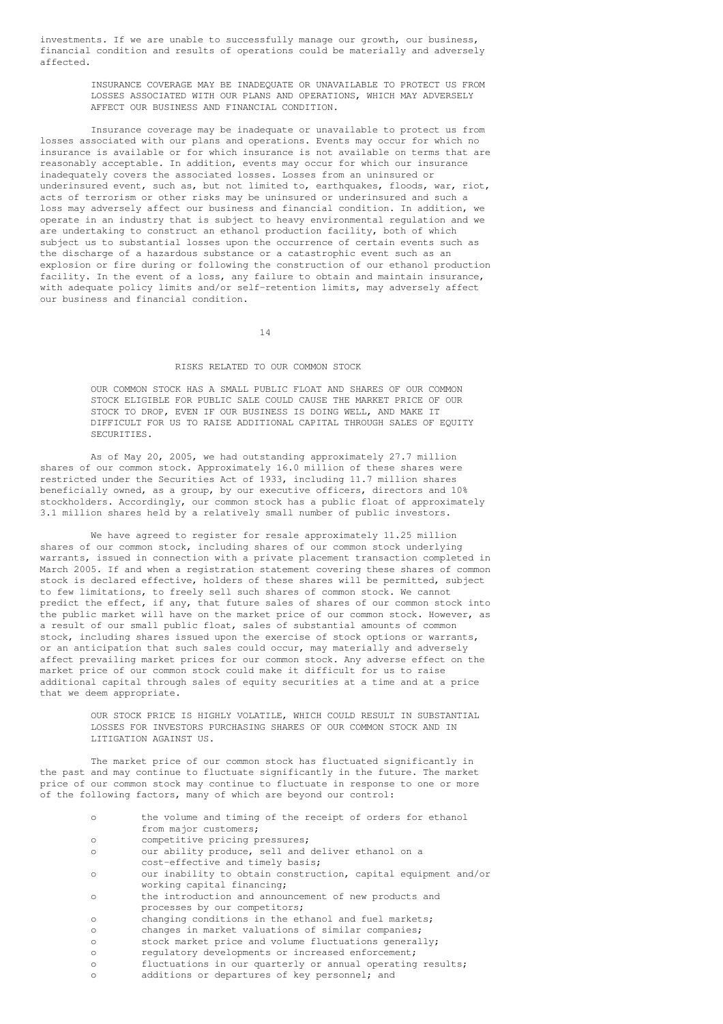investments. If we are unable to successfully manage our growth, our business, financial condition and results of operations could be materially and adversely affected.

> INSURANCE COVERAGE MAY BE INADEQUATE OR UNAVAILABLE TO PROTECT US FROM LOSSES ASSOCIATED WITH OUR PLANS AND OPERATIONS, WHICH MAY ADVERSELY AFFECT OUR BUSINESS AND FINANCIAL CONDITION.

Insurance coverage may be inadequate or unavailable to protect us from losses associated with our plans and operations. Events may occur for which no insurance is available or for which insurance is not available on terms that are reasonably acceptable. In addition, events may occur for which our insurance inadequately covers the associated losses. Losses from an uninsured or underinsured event, such as, but not limited to, earthquakes, floods, war, riot, acts of terrorism or other risks may be uninsured or underinsured and such a loss may adversely affect our business and financial condition. In addition, we operate in an industry that is subject to heavy environmental regulation and we are undertaking to construct an ethanol production facility, both of which subject us to substantial losses upon the occurrence of certain events such as the discharge of a hazardous substance or a catastrophic event such as an explosion or fire during or following the construction of our ethanol production facility. In the event of a loss, any failure to obtain and maintain insurance, with adequate policy limits and/or self-retention limits, may adversely affect our business and financial condition.

14

# RISKS RELATED TO OUR COMMON STOCK

OUR COMMON STOCK HAS A SMALL PUBLIC FLOAT AND SHARES OF OUR COMMON STOCK ELIGIBLE FOR PUBLIC SALE COULD CAUSE THE MARKET PRICE OF OUR STOCK TO DROP, EVEN IF OUR BUSINESS IS DOING WELL, AND MAKE IT DIFFICULT FOR US TO RAISE ADDITIONAL CAPITAL THROUGH SALES OF EQUITY SECURITIES.

As of May 20, 2005, we had outstanding approximately 27.7 million shares of our common stock. Approximately 16.0 million of these shares were restricted under the Securities Act of 1933, including 11.7 million shares beneficially owned, as a group, by our executive officers, directors and 10% stockholders. Accordingly, our common stock has a public float of approximately 3.1 million shares held by a relatively small number of public investors.

We have agreed to register for resale approximately 11.25 million shares of our common stock, including shares of our common stock underlying warrants, issued in connection with a private placement transaction completed in March 2005. If and when a registration statement covering these shares of common stock is declared effective, holders of these shares will be permitted, subject to few limitations, to freely sell such shares of common stock. We cannot predict the effect, if any, that future sales of shares of our common stock into the public market will have on the market price of our common stock. However, as a result of our small public float, sales of substantial amounts of common stock, including shares issued upon the exercise of stock options or warrants, or an anticipation that such sales could occur, may materially and adversely affect prevailing market prices for our common stock. Any adverse effect on the market price of our common stock could make it difficult for us to raise additional capital through sales of equity securities at a time and at a price that we deem appropriate.

> OUR STOCK PRICE IS HIGHLY VOLATILE, WHICH COULD RESULT IN SUBSTANTIAL LOSSES FOR INVESTORS PURCHASING SHARES OF OUR COMMON STOCK AND IN LITIGATION AGAINST US.

The market price of our common stock has fluctuated significantly in the past and may continue to fluctuate significantly in the future. The market price of our common stock may continue to fluctuate in response to one or more of the following factors, many of which are beyond our control:

| $\Omega$ | the volume and timing of the receipt of orders for ethanol     |
|----------|----------------------------------------------------------------|
|          | from major customers;                                          |
| $\circ$  | competitive pricing pressures;                                 |
| $\Omega$ | our ability produce, sell and deliver ethanol on a             |
|          | cost-effective and timely basis;                               |
| $\circ$  | our inability to obtain construction, capital equipment and/or |
|          | working capital financing;                                     |
| $\circ$  | the introduction and announcement of new products and          |
|          | processes by our competitors;                                  |
| $\circ$  | changing conditions in the ethanol and fuel markets;           |
| $\circ$  | changes in market valuations of similar companies;             |
| $\circ$  | stock market price and volume fluctuations generally;          |
| $\Omega$ | requiatory developments or increased enforcement;              |
| $\circ$  | fluctuations in our quarterly or annual operating results;     |
| $\circ$  | additions or departures of key personnel; and                  |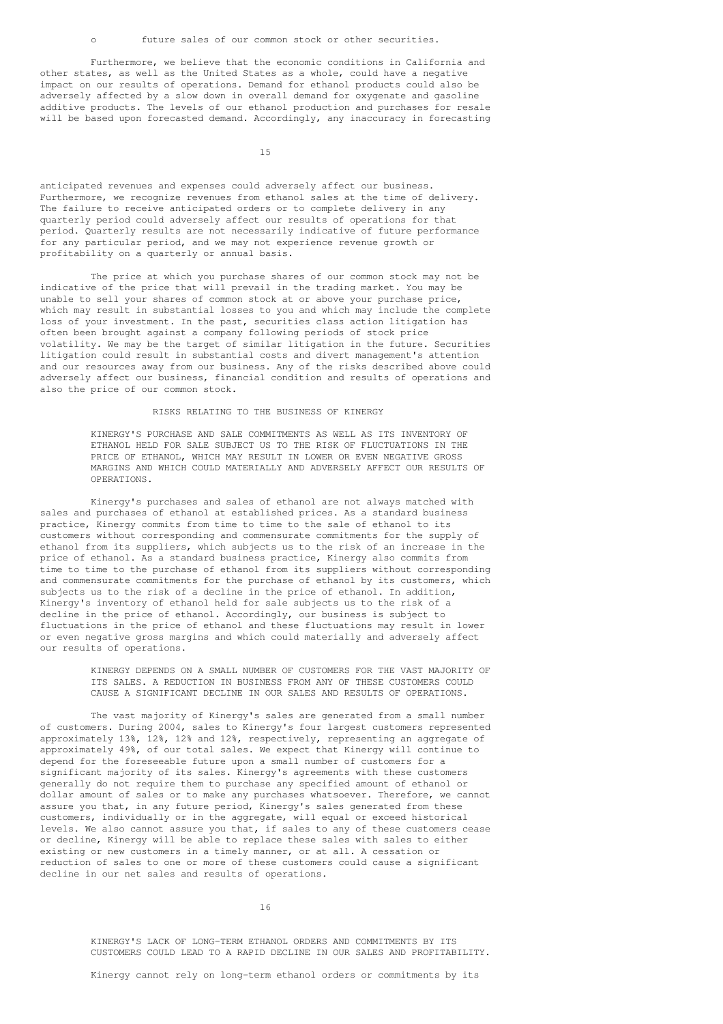Furthermore, we believe that the economic conditions in California and other states, as well as the United States as a whole, could have a negative impact on our results of operations. Demand for ethanol products could also be adversely affected by a slow down in overall demand for oxygenate and gasoline additive products. The levels of our ethanol production and purchases for resale will be based upon forecasted demand. Accordingly, any inaccuracy in forecasting

15

anticipated revenues and expenses could adversely affect our business. Furthermore, we recognize revenues from ethanol sales at the time of delivery. The failure to receive anticipated orders or to complete delivery in any quarterly period could adversely affect our results of operations for that period. Quarterly results are not necessarily indicative of future performance for any particular period, and we may not experience revenue growth or profitability on a quarterly or annual basis.

The price at which you purchase shares of our common stock may not be indicative of the price that will prevail in the trading market. You may be unable to sell your shares of common stock at or above your purchase price, which may result in substantial losses to you and which may include the complete loss of your investment. In the past, securities class action litigation has often been brought against a company following periods of stock price volatility. We may be the target of similar litigation in the future. Securities litigation could result in substantial costs and divert management's attention and our resources away from our business. Any of the risks described above could adversely affect our business, financial condition and results of operations and also the price of our common stock.

#### RISKS RELATING TO THE BUSINESS OF KINERGY

KINERGY'S PURCHASE AND SALE COMMITMENTS AS WELL AS ITS INVENTORY OF ETHANOL HELD FOR SALE SUBJECT US TO THE RISK OF FLUCTUATIONS IN THE PRICE OF ETHANOL, WHICH MAY RESULT IN LOWER OR EVEN NEGATIVE GROSS MARGINS AND WHICH COULD MATERIALLY AND ADVERSELY AFFECT OUR RESULTS OF OPERATIONS.

Kinergy's purchases and sales of ethanol are not always matched with sales and purchases of ethanol at established prices. As a standard business practice, Kinergy commits from time to time to the sale of ethanol to its customers without corresponding and commensurate commitments for the supply of ethanol from its suppliers, which subjects us to the risk of an increase in the price of ethanol. As a standard business practice, Kinergy also commits from time to time to the purchase of ethanol from its suppliers without corresponding and commensurate commitments for the purchase of ethanol by its customers, which subjects us to the risk of a decline in the price of ethanol. In addition, Kinergy's inventory of ethanol held for sale subjects us to the risk of a decline in the price of ethanol. Accordingly, our business is subject to fluctuations in the price of ethanol and these fluctuations may result in lower or even negative gross margins and which could materially and adversely affect our results of operations.

> KINERGY DEPENDS ON A SMALL NUMBER OF CUSTOMERS FOR THE VAST MAJORITY OF ITS SALES. A REDUCTION IN BUSINESS FROM ANY OF THESE CUSTOMERS COULD CAUSE A SIGNIFICANT DECLINE IN OUR SALES AND RESULTS OF OPERATIONS.

The vast majority of Kinergy's sales are generated from a small number of customers. During 2004, sales to Kinergy's four largest customers represented approximately 13%, 12%, 12% and 12%, respectively, representing an aggregate of approximately 49%, of our total sales. We expect that Kinergy will continue to depend for the foreseeable future upon a small number of customers for a significant majority of its sales. Kinergy's agreements with these customers generally do not require them to purchase any specified amount of ethanol or dollar amount of sales or to make any purchases whatsoever. Therefore, we cannot assure you that, in any future period, Kinergy's sales generated from these customers, individually or in the aggregate, will equal or exceed historical levels. We also cannot assure you that, if sales to any of these customers cease or decline, Kinergy will be able to replace these sales with sales to either existing or new customers in a timely manner, or at all. A cessation or reduction of sales to one or more of these customers could cause a significant decline in our net sales and results of operations.

16

KINERGY'S LACK OF LONG-TERM ETHANOL ORDERS AND COMMITMENTS BY ITS CUSTOMERS COULD LEAD TO A RAPID DECLINE IN OUR SALES AND PROFITABILITY.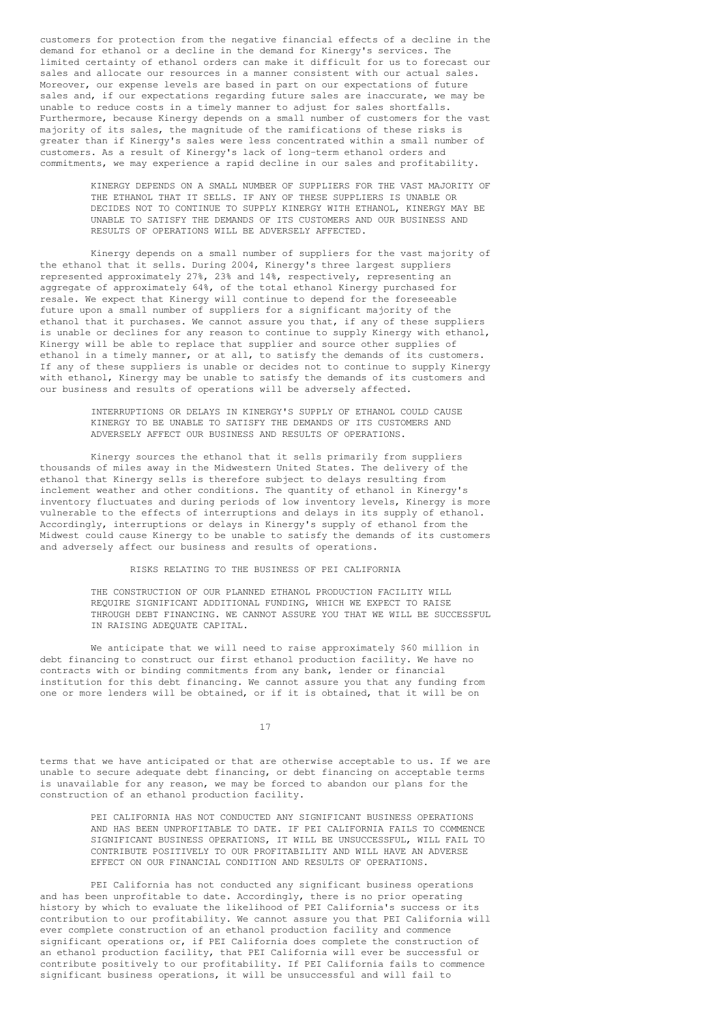customers for protection from the negative financial effects of a decline in the demand for ethanol or a decline in the demand for Kinergy's services. The limited certainty of ethanol orders can make it difficult for us to forecast our sales and allocate our resources in a manner consistent with our actual sales. Moreover, our expense levels are based in part on our expectations of future sales and, if our expectations regarding future sales are inaccurate, we may be unable to reduce costs in a timely manner to adjust for sales shortfalls. Furthermore, because Kinergy depends on a small number of customers for the vast majority of its sales, the magnitude of the ramifications of these risks is greater than if Kinergy's sales were less concentrated within a small number of customers. As a result of Kinergy's lack of long-term ethanol orders and commitments, we may experience a rapid decline in our sales and profitability.

> KINERGY DEPENDS ON A SMALL NUMBER OF SUPPLIERS FOR THE VAST MAJORITY OF THE ETHANOL THAT IT SELLS. IF ANY OF THESE SUPPLIERS IS UNABLE OR DECIDES NOT TO CONTINUE TO SUPPLY KINERGY WITH ETHANOL, KINERGY MAY BE UNABLE TO SATISFY THE DEMANDS OF ITS CUSTOMERS AND OUR BUSINESS AND RESULTS OF OPERATIONS WILL BE ADVERSELY AFFECTED.

Kinergy depends on a small number of suppliers for the vast majority of the ethanol that it sells. During 2004, Kinergy's three largest suppliers represented approximately 27%, 23% and 14%, respectively, representing an aggregate of approximately 64%, of the total ethanol Kinergy purchased for resale. We expect that Kinergy will continue to depend for the foreseeable future upon a small number of suppliers for a significant majority of the ethanol that it purchases. We cannot assure you that, if any of these suppliers is unable or declines for any reason to continue to supply Kinergy with ethanol, Kinergy will be able to replace that supplier and source other supplies of ethanol in a timely manner, or at all, to satisfy the demands of its customers. If any of these suppliers is unable or decides not to continue to supply Kinergy with ethanol, Kinergy may be unable to satisfy the demands of its customers and our business and results of operations will be adversely affected.

> INTERRUPTIONS OR DELAYS IN KINERGY'S SUPPLY OF ETHANOL COULD CAUSE KINERGY TO BE UNABLE TO SATISFY THE DEMANDS OF ITS CUSTOMERS AND ADVERSELY AFFECT OUR BUSINESS AND RESULTS OF OPERATIONS.

Kinergy sources the ethanol that it sells primarily from suppliers thousands of miles away in the Midwestern United States. The delivery of the ethanol that Kinergy sells is therefore subject to delays resulting from inclement weather and other conditions. The quantity of ethanol in Kinergy's inventory fluctuates and during periods of low inventory levels, Kinergy is more vulnerable to the effects of interruptions and delays in its supply of ethanol. Accordingly, interruptions or delays in Kinergy's supply of ethanol from the Midwest could cause Kinergy to be unable to satisfy the demands of its customers and adversely affect our business and results of operations.

RISKS RELATING TO THE BUSINESS OF PEI CALIFORNIA

THE CONSTRUCTION OF OUR PLANNED ETHANOL PRODUCTION FACILITY WILL REQUIRE SIGNIFICANT ADDITIONAL FUNDING, WHICH WE EXPECT TO RAISE THROUGH DEBT FINANCING. WE CANNOT ASSURE YOU THAT WE WILL BE SUCCESSFUL IN RAISING ADEQUATE CAPITAL.

We anticipate that we will need to raise approximately \$60 million in debt financing to construct our first ethanol production facility. We have no contracts with or binding commitments from any bank, lender or financial institution for this debt financing. We cannot assure you that any funding from one or more lenders will be obtained, or if it is obtained, that it will be on

17

terms that we have anticipated or that are otherwise acceptable to us. If we are unable to secure adequate debt financing, or debt financing on acceptable terms is unavailable for any reason, we may be forced to abandon our plans for the construction of an ethanol production facility.

> PEI CALIFORNIA HAS NOT CONDUCTED ANY SIGNIFICANT BUSINESS OPERATIONS AND HAS BEEN UNPROFITABLE TO DATE. IF PEI CALIFORNIA FAILS TO COMMENCE SIGNIFICANT BUSINESS OPERATIONS, IT WILL BE UNSUCCESSFUL, WILL FAIL TO CONTRIBUTE POSITIVELY TO OUR PROFITABILITY AND WILL HAVE AN ADVERSE EFFECT ON OUR FINANCIAL CONDITION AND RESULTS OF OPERATIONS.

PEI California has not conducted any significant business operations and has been unprofitable to date. Accordingly, there is no prior operating history by which to evaluate the likelihood of PEI California's success or its contribution to our profitability. We cannot assure you that PEI California will ever complete construction of an ethanol production facility and commence significant operations or, if PEI California does complete the construction of an ethanol production facility, that PEI California will ever be successful or contribute positively to our profitability. If PEI California fails to commence significant business operations, it will be unsuccessful and will fail to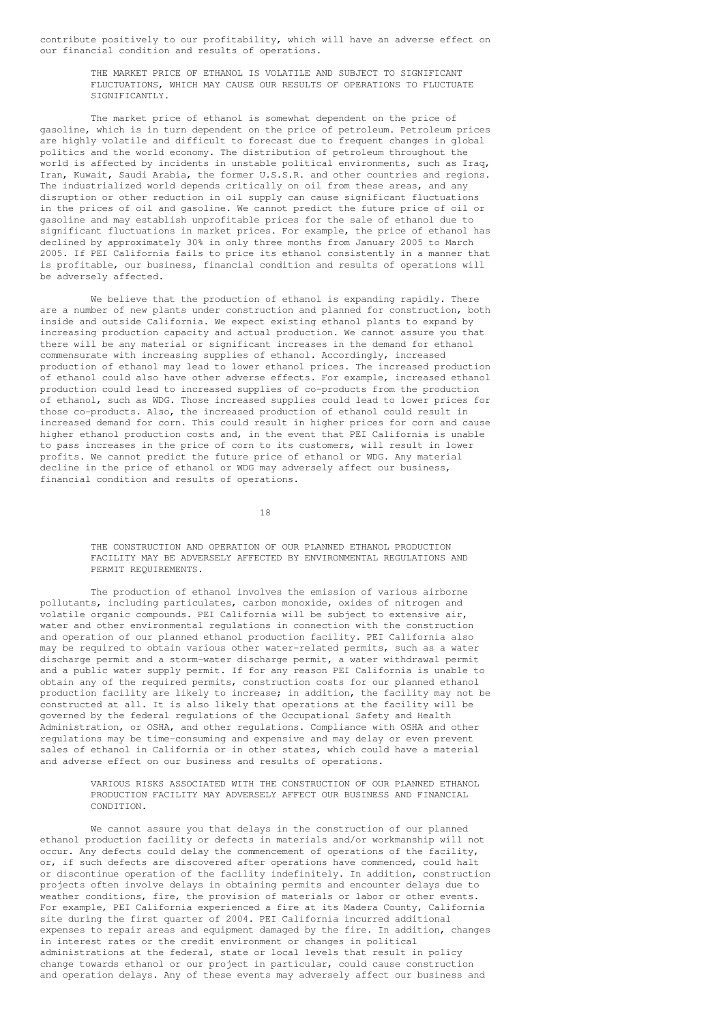contribute positively to our profitability, which will have an adverse effect on our financial condition and results of operations.

> THE MARKET PRICE OF ETHANOL IS VOLATILE AND SUBJECT TO SIGNIFICANT FLUCTUATIONS, WHICH MAY CAUSE OUR RESULTS OF OPERATIONS TO FLUCTUATE SIGNIFICANTLY.

The market price of ethanol is somewhat dependent on the price of gasoline, which is in turn dependent on the price of petroleum. Petroleum prices are highly volatile and difficult to forecast due to frequent changes in global politics and the world economy. The distribution of petroleum throughout the world is affected by incidents in unstable political environments, such as Iraq, Iran, Kuwait, Saudi Arabia, the former U.S.S.R. and other countries and regions. The industrialized world depends critically on oil from these areas, and any disruption or other reduction in oil supply can cause significant fluctuations in the prices of oil and gasoline. We cannot predict the future price of oil or gasoline and may establish unprofitable prices for the sale of ethanol due to significant fluctuations in market prices. For example, the price of ethanol has declined by approximately 30% in only three months from January 2005 to March 2005. If PEI California fails to price its ethanol consistently in a manner that is profitable, our business, financial condition and results of operations will be adversely affected.

We believe that the production of ethanol is expanding rapidly. There are a number of new plants under construction and planned for construction, both inside and outside California. We expect existing ethanol plants to expand by increasing production capacity and actual production. We cannot assure you that there will be any material or significant increases in the demand for ethanol commensurate with increasing supplies of ethanol. Accordingly, increased production of ethanol may lead to lower ethanol prices. The increased production of ethanol could also have other adverse effects. For example, increased ethanol production could lead to increased supplies of co-products from the production of ethanol, such as WDG. Those increased supplies could lead to lower prices for those co-products. Also, the increased production of ethanol could result in increased demand for corn. This could result in higher prices for corn and cause higher ethanol production costs and, in the event that PEI California is unable to pass increases in the price of corn to its customers, will result in lower profits. We cannot predict the future price of ethanol or WDG. Any material decline in the price of ethanol or WDG may adversely affect our business, financial condition and results of operations.

18

THE CONSTRUCTION AND OPERATION OF OUR PLANNED ETHANOL PRODUCTION FACILITY MAY BE ADVERSELY AFFECTED BY ENVIRONMENTAL REGULATIONS AND PERMIT REQUIREMENTS.

The production of ethanol involves the emission of various airborne pollutants, including particulates, carbon monoxide, oxides of nitrogen and volatile organic compounds. PEI California will be subject to extensive air, water and other environmental regulations in connection with the construction and operation of our planned ethanol production facility. PEI California also may be required to obtain various other water-related permits, such as a water discharge permit and a storm-water discharge permit, a water withdrawal permit and a public water supply permit. If for any reason PEI California is unable to obtain any of the required permits, construction costs for our planned ethanol production facility are likely to increase; in addition, the facility may not be constructed at all. It is also likely that operations at the facility will be governed by the federal regulations of the Occupational Safety and Health Administration, or OSHA, and other regulations. Compliance with OSHA and other regulations may be time-consuming and expensive and may delay or even prevent sales of ethanol in California or in other states, which could have a material and adverse effect on our business and results of operations.

> VARIOUS RISKS ASSOCIATED WITH THE CONSTRUCTION OF OUR PLANNED ETHANOL PRODUCTION FACILITY MAY ADVERSELY AFFECT OUR BUSINESS AND FINANCIAL CONDITION.

We cannot assure you that delays in the construction of our planned ethanol production facility or defects in materials and/or workmanship will not occur. Any defects could delay the commencement of operations of the facility, or, if such defects are discovered after operations have commenced, could halt or discontinue operation of the facility indefinitely. In addition, construction projects often involve delays in obtaining permits and encounter delays due to weather conditions, fire, the provision of materials or labor or other events. For example, PEI California experienced a fire at its Madera County, California site during the first quarter of 2004. PEI California incurred additional expenses to repair areas and equipment damaged by the fire. In addition, changes in interest rates or the credit environment or changes in political administrations at the federal, state or local levels that result in policy change towards ethanol or our project in particular, could cause construction and operation delays. Any of these events may adversely affect our business and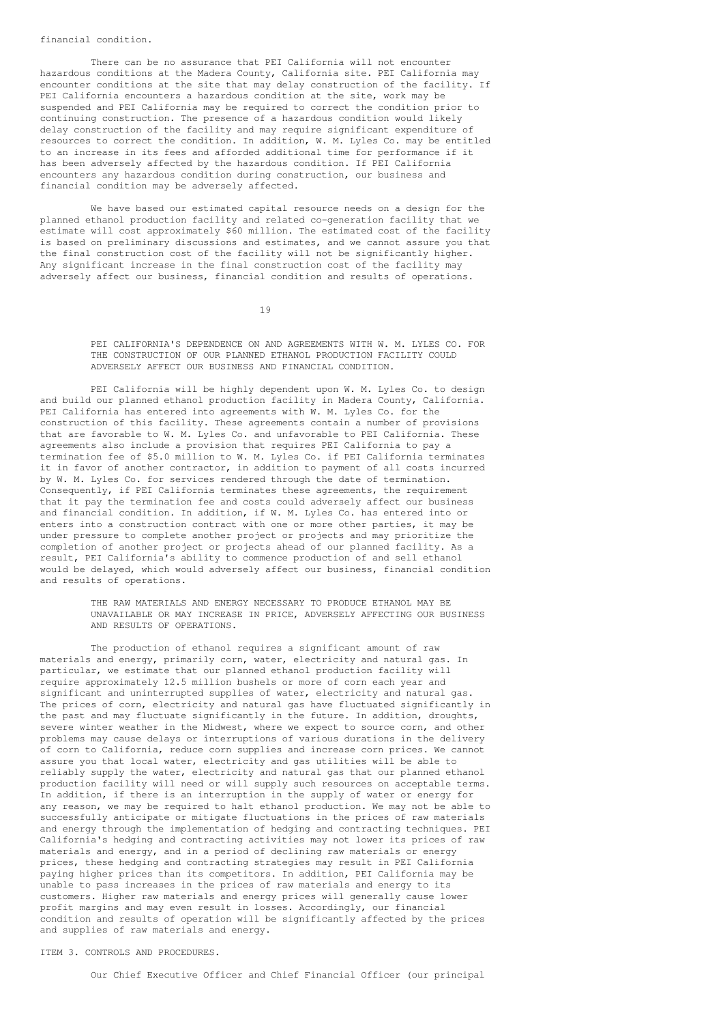#### financial condition.

There can be no assurance that PEI California will not encounter hazardous conditions at the Madera County, California site. PEI California may encounter conditions at the site that may delay construction of the facility. If PEI California encounters a hazardous condition at the site, work may be suspended and PEI California may be required to correct the condition prior to continuing construction. The presence of a hazardous condition would likely delay construction of the facility and may require significant expenditure of resources to correct the condition. In addition, W. M. Lyles Co. may be entitled to an increase in its fees and afforded additional time for performance if it has been adversely affected by the hazardous condition. If PEI California encounters any hazardous condition during construction, our business and financial condition may be adversely affected.

We have based our estimated capital resource needs on a design for the planned ethanol production facility and related co-generation facility that we estimate will cost approximately \$60 million. The estimated cost of the facility is based on preliminary discussions and estimates, and we cannot assure you that the final construction cost of the facility will not be significantly higher. Any significant increase in the final construction cost of the facility may adversely affect our business, financial condition and results of operations.

19

PEI CALIFORNIA'S DEPENDENCE ON AND AGREEMENTS WITH W. M. LYLES CO. FOR THE CONSTRUCTION OF OUR PLANNED ETHANOL PRODUCTION FACILITY COULD ADVERSELY AFFECT OUR BUSINESS AND FINANCIAL CONDITION.

PEI California will be highly dependent upon W. M. Lyles Co. to design and build our planned ethanol production facility in Madera County, California. PEI California has entered into agreements with W. M. Lyles Co. for the construction of this facility. These agreements contain a number of provisions that are favorable to W. M. Lyles Co. and unfavorable to PEI California. These agreements also include a provision that requires PEI California to pay a termination fee of \$5.0 million to W. M. Lyles Co. if PEI California terminates it in favor of another contractor, in addition to payment of all costs incurred by W. M. Lyles Co. for services rendered through the date of termination. Consequently, if PEI California terminates these agreements, the requirement that it pay the termination fee and costs could adversely affect our business and financial condition. In addition, if W. M. Lyles Co. has entered into or enters into a construction contract with one or more other parties, it may be under pressure to complete another project or projects and may prioritize the completion of another project or projects ahead of our planned facility. As a result, PEI California's ability to commence production of and sell ethanol would be delayed, which would adversely affect our business, financial condition and results of operations.

> THE RAW MATERIALS AND ENERGY NECESSARY TO PRODUCE ETHANOL MAY BE UNAVAILABLE OR MAY INCREASE IN PRICE, ADVERSELY AFFECTING OUR BUSINESS AND RESULTS OF OPERATIONS.

The production of ethanol requires a significant amount of raw materials and energy, primarily corn, water, electricity and natural gas. In particular, we estimate that our planned ethanol production facility will require approximately 12.5 million bushels or more of corn each year and significant and uninterrupted supplies of water, electricity and natural gas. The prices of corn, electricity and natural gas have fluctuated significantly in the past and may fluctuate significantly in the future. In addition, droughts, severe winter weather in the Midwest, where we expect to source corn, and other problems may cause delays or interruptions of various durations in the delivery of corn to California, reduce corn supplies and increase corn prices. We cannot assure you that local water, electricity and gas utilities will be able to reliably supply the water, electricity and natural gas that our planned ethanol production facility will need or will supply such resources on acceptable terms. In addition, if there is an interruption in the supply of water or energy for any reason, we may be required to halt ethanol production. We may not be able to successfully anticipate or mitigate fluctuations in the prices of raw materials and energy through the implementation of hedging and contracting techniques. PEI California's hedging and contracting activities may not lower its prices of raw materials and energy, and in a period of declining raw materials or energy prices, these hedging and contracting strategies may result in PEI California paying higher prices than its competitors. In addition, PEI California may be unable to pass increases in the prices of raw materials and energy to its customers. Higher raw materials and energy prices will generally cause lower profit margins and may even result in losses. Accordingly, our financial condition and results of operation will be significantly affected by the prices and supplies of raw materials and energy.

ITEM 3. CONTROLS AND PROCEDURES.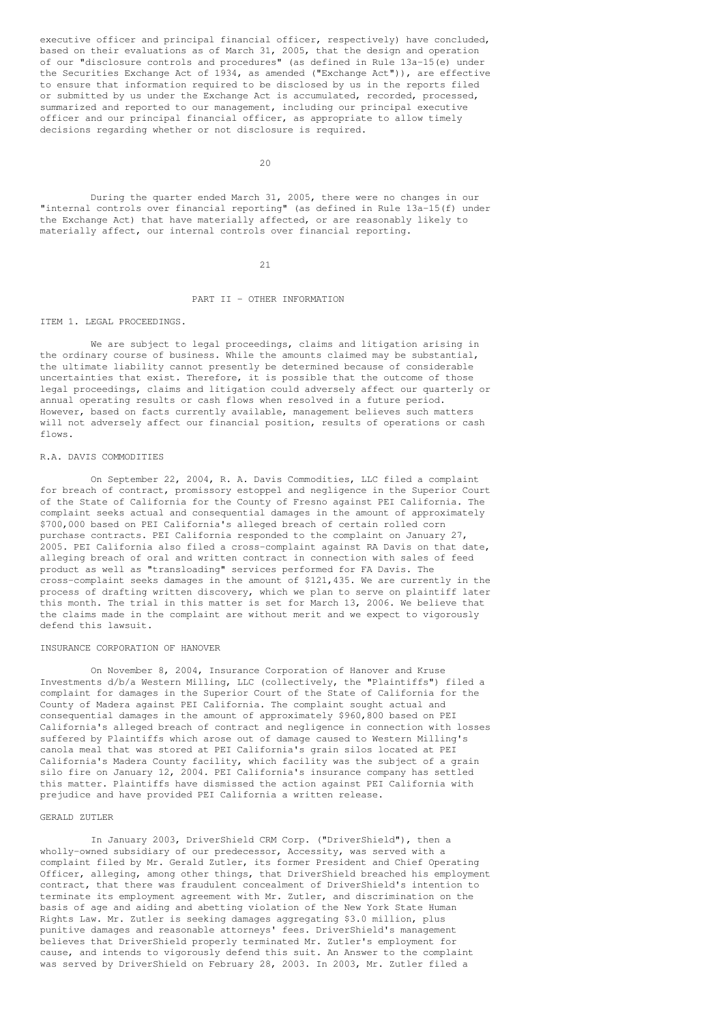executive officer and principal financial officer, respectively) have concluded, based on their evaluations as of March 31, 2005, that the design and operation of our "disclosure controls and procedures" (as defined in Rule 13a-15(e) under the Securities Exchange Act of 1934, as amended ("Exchange Act")), are effective to ensure that information required to be disclosed by us in the reports filed or submitted by us under the Exchange Act is accumulated, recorded, processed, summarized and reported to our management, including our principal executive officer and our principal financial officer, as appropriate to allow timely decisions regarding whether or not disclosure is required.

20

During the quarter ended March 31, 2005, there were no changes in our "internal controls over financial reporting" (as defined in Rule 13a-15(f) under the Exchange Act) that have materially affected, or are reasonably likely to materially affect, our internal controls over financial reporting.

 $21$ 

### PART II - OTHER INFORMATION

#### ITEM 1. LEGAL PROCEEDINGS.

We are subject to legal proceedings, claims and litigation arising in the ordinary course of business. While the amounts claimed may be substantial, the ultimate liability cannot presently be determined because of considerable uncertainties that exist. Therefore, it is possible that the outcome of those legal proceedings, claims and litigation could adversely affect our quarterly or annual operating results or cash flows when resolved in a future period. However, based on facts currently available, management believes such matters will not adversely affect our financial position, results of operations or cash flows.

#### R.A. DAVIS COMMODITIES

On September 22, 2004, R. A. Davis Commodities, LLC filed a complaint for breach of contract, promissory estoppel and negligence in the Superior Court of the State of California for the County of Fresno against PEI California. The complaint seeks actual and consequential damages in the amount of approximately \$700,000 based on PEI California's alleged breach of certain rolled corn purchase contracts. PEI California responded to the complaint on January 27, 2005. PEI California also filed a cross-complaint against RA Davis on that date, alleging breach of oral and written contract in connection with sales of feed product as well as "transloading" services performed for FA Davis. The cross-complaint seeks damages in the amount of \$121,435. We are currently in the process of drafting written discovery, which we plan to serve on plaintiff later this month. The trial in this matter is set for March 13, 2006. We believe that the claims made in the complaint are without merit and we expect to vigorously defend this lawsuit.

#### INSURANCE CORPORATION OF HANOVER

On November 8, 2004, Insurance Corporation of Hanover and Kruse Investments d/b/a Western Milling, LLC (collectively, the "Plaintiffs") filed a complaint for damages in the Superior Court of the State of California for the County of Madera against PEI California. The complaint sought actual and consequential damages in the amount of approximately \$960,800 based on PEI California's alleged breach of contract and negligence in connection with losses suffered by Plaintiffs which arose out of damage caused to Western Milling's canola meal that was stored at PEI California's grain silos located at PEI California's Madera County facility, which facility was the subject of a grain silo fire on January 12, 2004. PEI California's insurance company has settled this matter. Plaintiffs have dismissed the action against PEI California with prejudice and have provided PEI California a written release.

#### GERALD ZUTLER

In January 2003, DriverShield CRM Corp. ("DriverShield"), then a wholly-owned subsidiary of our predecessor, Accessity, was served with a complaint filed by Mr. Gerald Zutler, its former President and Chief Operating Officer, alleging, among other things, that DriverShield breached his employment contract, that there was fraudulent concealment of DriverShield's intention to terminate its employment agreement with Mr. Zutler, and discrimination on the basis of age and aiding and abetting violation of the New York State Human Rights Law. Mr. Zutler is seeking damages aggregating \$3.0 million, plus punitive damages and reasonable attorneys' fees. DriverShield's management believes that DriverShield properly terminated Mr. Zutler's employment for cause, and intends to vigorously defend this suit. An Answer to the complaint was served by DriverShield on February 28, 2003. In 2003, Mr. Zutler filed a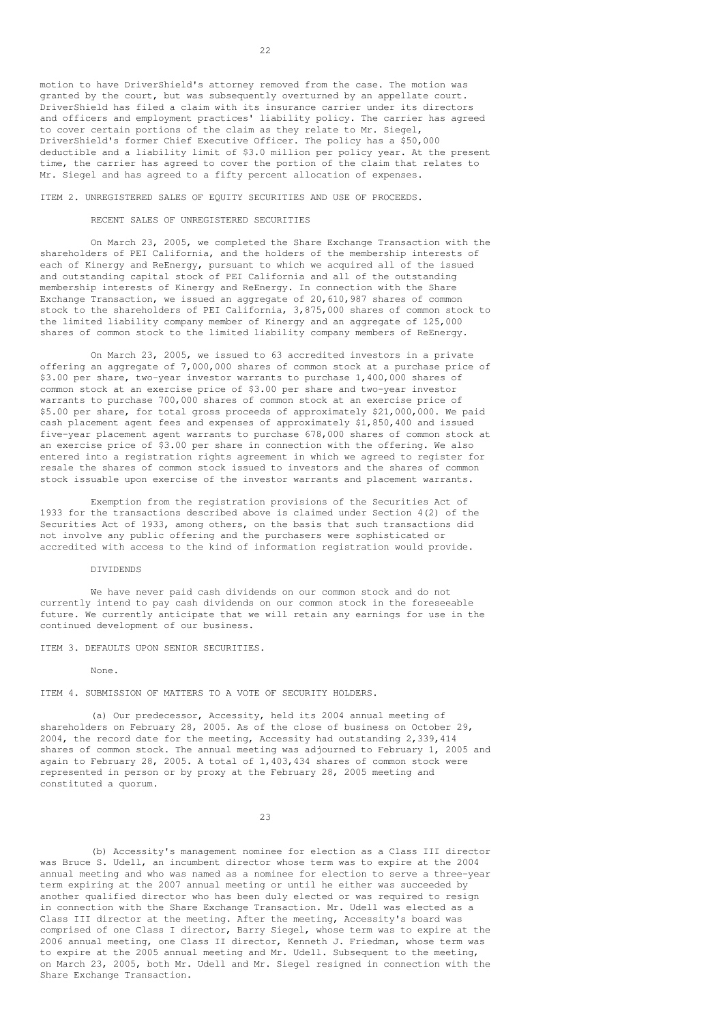motion to have DriverShield's attorney removed from the case. The motion was granted by the court, but was subsequently overturned by an appellate court. DriverShield has filed a claim with its insurance carrier under its directors and officers and employment practices' liability policy. The carrier has agreed to cover certain portions of the claim as they relate to Mr. Siegel, DriverShield's former Chief Executive Officer. The policy has a \$50,000 deductible and a liability limit of \$3.0 million per policy year. At the present time, the carrier has agreed to cover the portion of the claim that relates to Mr. Siegel and has agreed to a fifty percent allocation of expenses.

#### ITEM 2. UNREGISTERED SALES OF EQUITY SECURITIES AND USE OF PROCEEDS.

## RECENT SALES OF UNREGISTERED SECURITIES

On March 23, 2005, we completed the Share Exchange Transaction with the shareholders of PEI California, and the holders of the membership interests of each of Kinergy and ReEnergy, pursuant to which we acquired all of the issued and outstanding capital stock of PEI California and all of the outstanding membership interests of Kinergy and ReEnergy. In connection with the Share Exchange Transaction, we issued an aggregate of 20,610,987 shares of common stock to the shareholders of PEI California, 3,875,000 shares of common stock to the limited liability company member of Kinergy and an aggregate of 125,000 shares of common stock to the limited liability company members of ReEnergy.

On March 23, 2005, we issued to 63 accredited investors in a private offering an aggregate of 7,000,000 shares of common stock at a purchase price of \$3.00 per share, two-year investor warrants to purchase 1,400,000 shares of common stock at an exercise price of \$3.00 per share and two-year investor warrants to purchase 700,000 shares of common stock at an exercise price of \$5.00 per share, for total gross proceeds of approximately \$21,000,000. We paid cash placement agent fees and expenses of approximately \$1,850,400 and issued five-year placement agent warrants to purchase 678,000 shares of common stock at an exercise price of \$3.00 per share in connection with the offering. We also entered into a registration rights agreement in which we agreed to register for resale the shares of common stock issued to investors and the shares of common stock issuable upon exercise of the investor warrants and placement warrants.

Exemption from the registration provisions of the Securities Act of 1933 for the transactions described above is claimed under Section 4(2) of the Securities Act of 1933, among others, on the basis that such transactions did not involve any public offering and the purchasers were sophisticated or accredited with access to the kind of information registration would provide.

#### DIVIDENDS

We have never paid cash dividends on our common stock and do not currently intend to pay cash dividends on our common stock in the foreseeable future. We currently anticipate that we will retain any earnings for use in the continued development of our business.

ITEM 3. DEFAULTS UPON SENIOR SECURITIES.

None.

ITEM 4. SUBMISSION OF MATTERS TO A VOTE OF SECURITY HOLDERS.

(a) Our predecessor, Accessity, held its 2004 annual meeting of shareholders on February 28, 2005. As of the close of business on October 29, 2004, the record date for the meeting, Accessity had outstanding 2,339,414 shares of common stock. The annual meeting was adjourned to February 1, 2005 and again to February 28, 2005. A total of 1,403,434 shares of common stock were represented in person or by proxy at the February 28, 2005 meeting and constituted a quorum.

23

(b) Accessity's management nominee for election as a Class III director was Bruce S. Udell, an incumbent director whose term was to expire at the 2004 annual meeting and who was named as a nominee for election to serve a three-year term expiring at the 2007 annual meeting or until he either was succeeded by another qualified director who has been duly elected or was required to resign in connection with the Share Exchange Transaction. Mr. Udell was elected as a Class III director at the meeting. After the meeting, Accessity's board was comprised of one Class I director, Barry Siegel, whose term was to expire at the 2006 annual meeting, one Class II director, Kenneth J. Friedman, whose term was to expire at the 2005 annual meeting and Mr. Udell. Subsequent to the meeting, on March 23, 2005, both Mr. Udell and Mr. Siegel resigned in connection with the Share Exchange Transaction.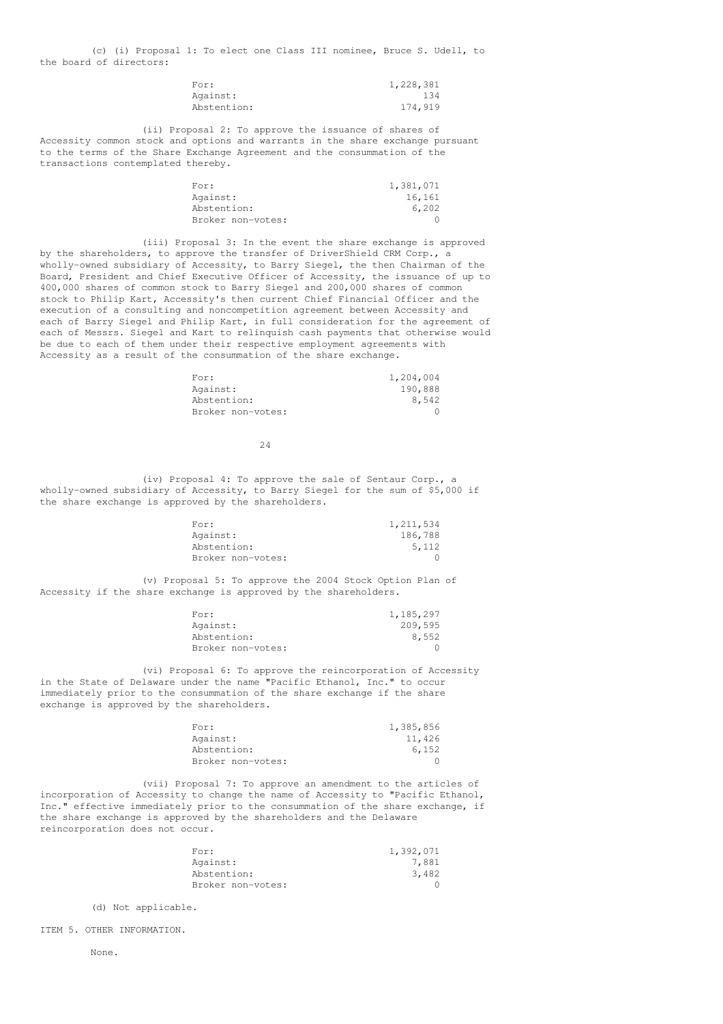(c) (i) Proposal 1: To elect one Class III nominee, Bruce S. Udell, to the board of directors:

| For:        | 1,228,381 |
|-------------|-----------|
| Against:    | 134       |
| Abstention: | 174,919   |

(ii) Proposal 2: To approve the issuance of shares of Accessity common stock and options and warrants in the share exchange pursuant to the terms of the Share Exchange Agreement and the consummation of the transactions contemplated thereby.

| For:              | 1,381,071 |
|-------------------|-----------|
| Against:          | 16,161    |
| Abstention:       | 6.202     |
| Broker non-votes: |           |

(iii) Proposal 3: In the event the share exchange is approved by the shareholders, to approve the transfer of DriverShield CRM Corp., a wholly-owned subsidiary of Accessity, to Barry Siegel, the then Chairman of the Board, President and Chief Executive Officer of Accessity, the issuance of up to 400,000 shares of common stock to Barry Siegel and 200,000 shares of common stock to Philip Kart, Accessity's then current Chief Financial Officer and the execution of a consulting and noncompetition agreement between Accessity and each of Barry Siegel and Philip Kart, in full consideration for the agreement of each of Messrs. Siegel and Kart to relinquish cash payments that otherwise would be due to each of them under their respective employment agreements with Accessity as a result of the consummation of the share exchange.

| For:              | 1,204,004 |
|-------------------|-----------|
| Against:          | 190.888   |
| Abstention:       | 8,542     |
| Broker non-votes: |           |

24

(iv) Proposal 4: To approve the sale of Sentaur Corp., a wholly-owned subsidiary of Accessity, to Barry Siegel for the sum of \$5,000 if the share exchange is approved by the shareholders.

| For:              | 1,211,534 |
|-------------------|-----------|
| Against:          | 186,788   |
| Abstention:       | 5,112     |
| Broker non-votes: |           |

(v) Proposal 5: To approve the 2004 Stock Option Plan of Accessity if the share exchange is approved by the shareholders.

| For:              | 1,185,297 |
|-------------------|-----------|
| Aqainst:          | 209,595   |
| Abstention:       | 8,552     |
| Broker non-votes: |           |

(vi) Proposal 6: To approve the reincorporation of Accessity in the State of Delaware under the name "Pacific Ethanol, Inc." to occur immediately prior to the consummation of the share exchange if the share exchange is approved by the shareholders.

| For:              | 1,385,856 |
|-------------------|-----------|
| Against:          | 11,426    |
| Abstention:       | 6.152     |
| Broker non-votes: |           |

(vii) Proposal 7: To approve an amendment to the articles of incorporation of Accessity to change the name of Accessity to "Pacific Ethanol, Inc." effective immediately prior to the consummation of the share exchange, if the share exchange is approved by the shareholders and the Delaware reincorporation does not occur.

| For:              | 1,392,071 |
|-------------------|-----------|
| Aqainst:          | 7.881     |
| Abstention:       | 3,482     |
| Broker non-votes: |           |

(d) Not applicable.

ITEM 5. OTHER INFORMATION.

None.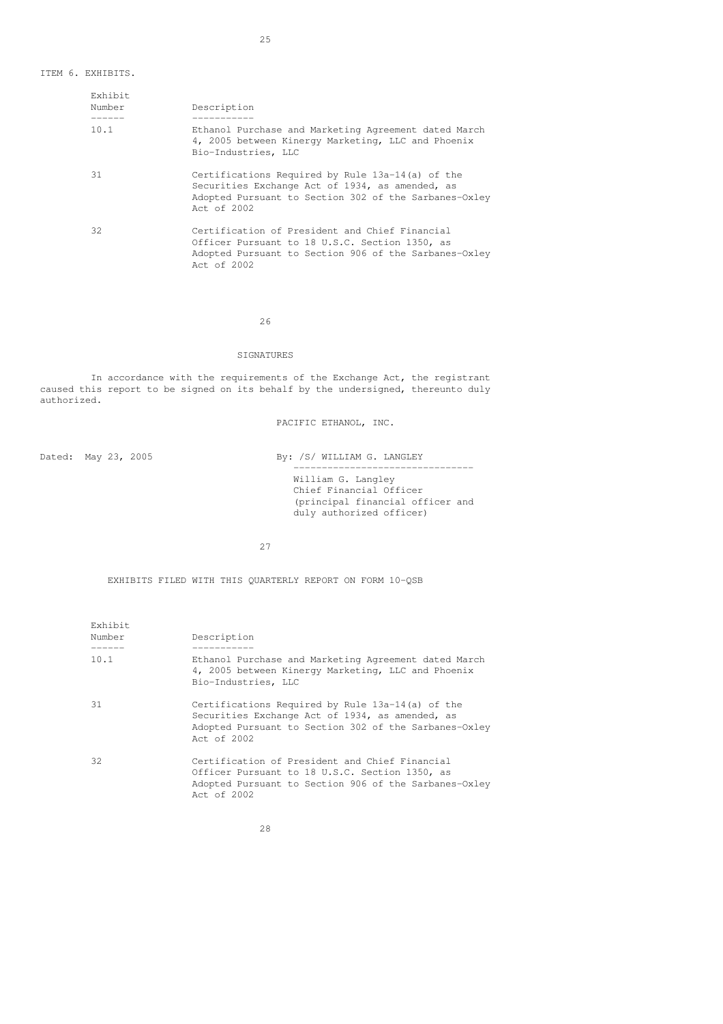# ITEM 6. EXHIBITS.

| Exhibit |                                                                                                                                                                             |
|---------|-----------------------------------------------------------------------------------------------------------------------------------------------------------------------------|
| Number  | Description                                                                                                                                                                 |
|         |                                                                                                                                                                             |
| 10.1    | Ethanol Purchase and Marketing Agreement dated March<br>4, 2005 between Kinergy Marketing, LLC and Phoenix<br>Bio-Industries, LLC                                           |
| .31     | Certifications Required by Rule 13a-14(a) of the<br>Securities Exchange Act of 1934, as amended, as<br>Adopted Pursuant to Section 302 of the Sarbanes-Oxley<br>Act of 2002 |
| 32      | Certification of President and Chief Financial<br>Officer Pursuant to 18 U.S.C. Section 1350, as<br>Adopted Pursuant to Section 906 of the Sarbanes-Oxley<br>Act of 2002    |

26

# SIGNATURES

In accordance with the requirements of the Exchange Act, the registrant caused this report to be signed on its behalf by the undersigned, thereunto duly authorized.

# PACIFIC ETHANOL, INC.

Dated: May 23, 2005 By: /S/ WILLIAM G. LANGLEY --------------------------------

William G. Langley Chief Financial Officer (principal financial officer and duly authorized officer)

27

EXHIBITS FILED WITH THIS QUARTERLY REPORT ON FORM 10-QSB

| Exhibit<br>Number<br>10.1 | Description<br>Ethanol Purchase and Marketing Agreement dated March<br>4, 2005 between Kinergy Marketing, LLC and Phoenix                                                                          |
|---------------------------|----------------------------------------------------------------------------------------------------------------------------------------------------------------------------------------------------|
| 31                        | Bio-Industries, LLC<br>Certifications Required by Rule 13a-14(a) of the<br>Securities Exchange Act of 1934, as amended, as<br>Adopted Pursuant to Section 302 of the Sarbanes-Oxley<br>Act of 2002 |
| 32                        | Certification of President and Chief Financial<br>Officer Pursuant to 18 U.S.C. Section 1350, as<br>Adopted Pursuant to Section 906 of the Sarbanes-Oxley<br>Act of 2002                           |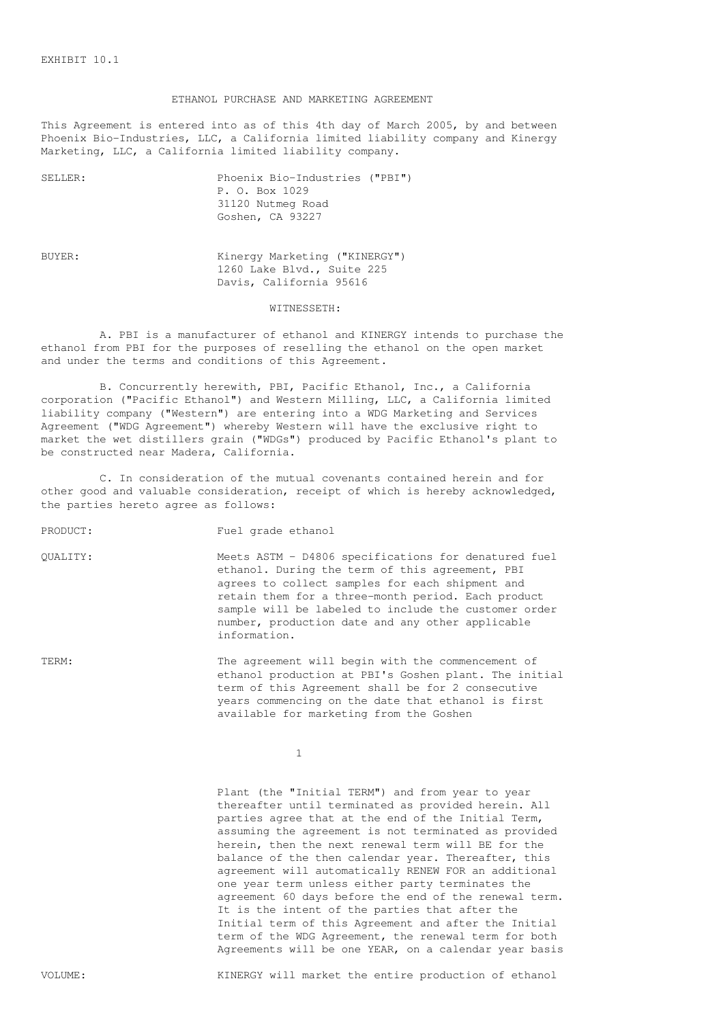### ETHANOL PURCHASE AND MARKETING AGREEMENT

This Agreement is entered into as of this 4th day of March 2005, by and between Phoenix Bio-Industries, LLC, a California limited liability company and Kinergy Marketing, LLC, a California limited liability company.

| SELLER: | Phoenix Bio-Industries ("PBI") |  |
|---------|--------------------------------|--|
|         | P. O. Box 1029                 |  |
|         | 31120 Nutmeg Road              |  |
|         | Goshen, CA 93227               |  |

BUYER: Kinergy Marketing ("KINERGY") 1260 Lake Blvd., Suite 225 Davis, California 95616

#### WITNESSETH:

A. PBI is a manufacturer of ethanol and KINERGY intends to purchase the ethanol from PBI for the purposes of reselling the ethanol on the open market and under the terms and conditions of this Agreement.

B. Concurrently herewith, PBI, Pacific Ethanol, Inc., a California corporation ("Pacific Ethanol") and Western Milling, LLC, a California limited liability company ("Western") are entering into a WDG Marketing and Services Agreement ("WDG Agreement") whereby Western will have the exclusive right to market the wet distillers grain ("WDGs") produced by Pacific Ethanol's plant to be constructed near Madera, California.

C. In consideration of the mutual covenants contained herein and for other good and valuable consideration, receipt of which is hereby acknowledged, the parties hereto agree as follows:

PRODUCT: Fuel grade ethanol

QUALITY: Meets ASTM - D4806 specifications for denatured fuel ethanol. During the term of this agreement, PBI agrees to collect samples for each shipment and retain them for a three-month period. Each product sample will be labeled to include the customer order number, production date and any other applicable information.

TERM: The agreement will begin with the commencement of ethanol production at PBI's Goshen plant. The initial term of this Agreement shall be for 2 consecutive years commencing on the date that ethanol is first available for marketing from the Goshen

1

Plant (the "Initial TERM") and from year to year thereafter until terminated as provided herein. All parties agree that at the end of the Initial Term, assuming the agreement is not terminated as provided herein, then the next renewal term will BE for the balance of the then calendar year. Thereafter, this agreement will automatically RENEW FOR an additional one year term unless either party terminates the agreement 60 days before the end of the renewal term. It is the intent of the parties that after the Initial term of this Agreement and after the Initial term of the WDG Agreement, the renewal term for both Agreements will be one YEAR, on a calendar year basis

VOLUME: KINERGY will market the entire production of ethanol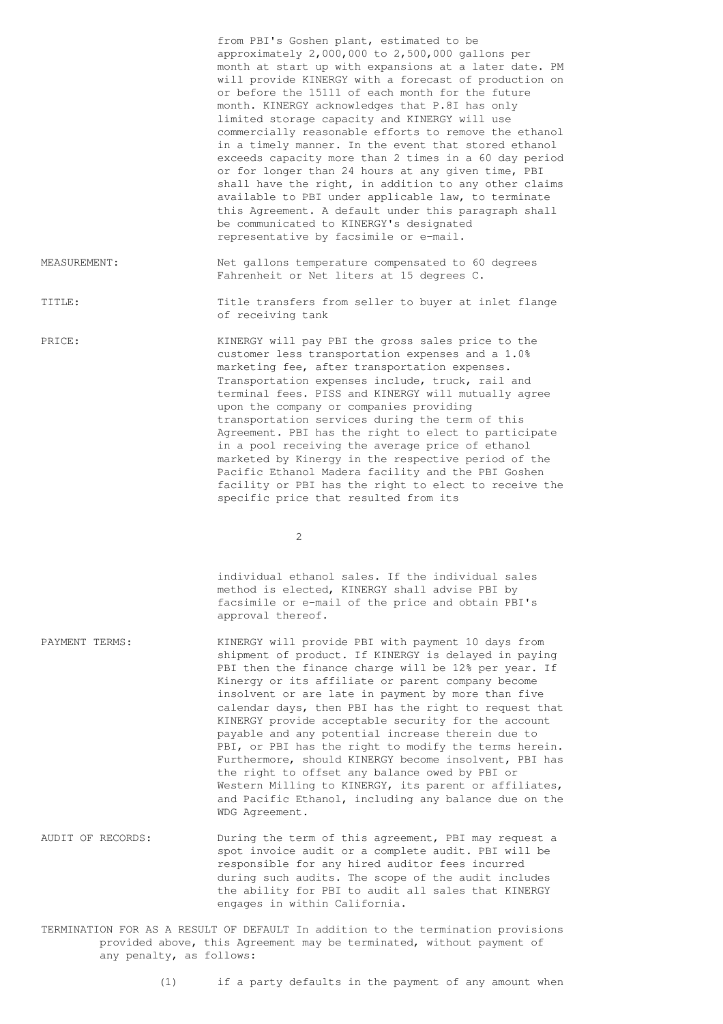from PBI's Goshen plant, estimated to be approximately 2,000,000 to 2,500,000 gallons per month at start up with expansions at a later date. PM will provide KINERGY with a forecast of production on or before the 15111 of each month for the future month. KINERGY acknowledges that P.8I has only limited storage capacity and KINERGY will use commercially reasonable efforts to remove the ethanol in a timely manner. In the event that stored ethanol exceeds capacity more than 2 times in a 60 day period or for longer than 24 hours at any given time, PBI shall have the right, in addition to any other claims available to PBI under applicable law, to terminate this Agreement. A default under this paragraph shall be communicated to KINERGY's designated representative by facsimile or e-mail. MEASUREMENT: Net gallons temperature compensated to 60 degrees Fahrenheit or Net liters at 15 degrees C. TITLE: Title transfers from seller to buyer at inlet flange of receiving tank PRICE: KINERGY will pay PBI the gross sales price to the customer less transportation expenses and a 1.0% marketing fee, after transportation expenses. Transportation expenses include, truck, rail and terminal fees. PISS and KINERGY will mutually agree upon the company or companies providing transportation services during the term of this Agreement. PBI has the right to elect to participate in a pool receiving the average price of ethanol marketed by Kinergy in the respective period of the Pacific Ethanol Madera facility and the PBI Goshen facility or PBI has the right to elect to receive the specific price that resulted from its 2 individual ethanol sales. If the individual sales method is elected, KINERGY shall advise PBI by facsimile or e-mail of the price and obtain PBI's approval thereof. PAYMENT TERMS: KINERGY will provide PBI with payment 10 days from shipment of product. If KINERGY is delayed in paying PBI then the finance charge will be 12% per year. If Kinergy or its affiliate or parent company become insolvent or are late in payment by more than five calendar days, then PBI has the right to request that KINERGY provide acceptable security for the account payable and any potential increase therein due to PBI, or PBI has the right to modify the terms herein. Furthermore, should KINERGY become insolvent, PBI has the right to offset any balance owed by PBI or Western Milling to KINERGY, its parent or affiliates, and Pacific Ethanol, including any balance due on the WDG Agreement. AUDIT OF RECORDS: During the term of this agreement, PBI may request a spot invoice audit or a complete audit. PBI will be responsible for any hired auditor fees incurred during such audits. The scope of the audit includes the ability for PBI to audit all sales that KINERGY engages in within California.

TERMINATION FOR AS A RESULT OF DEFAULT In addition to the termination provisions provided above, this Agreement may be terminated, without payment of any penalty, as follows:

(1) if a party defaults in the payment of any amount when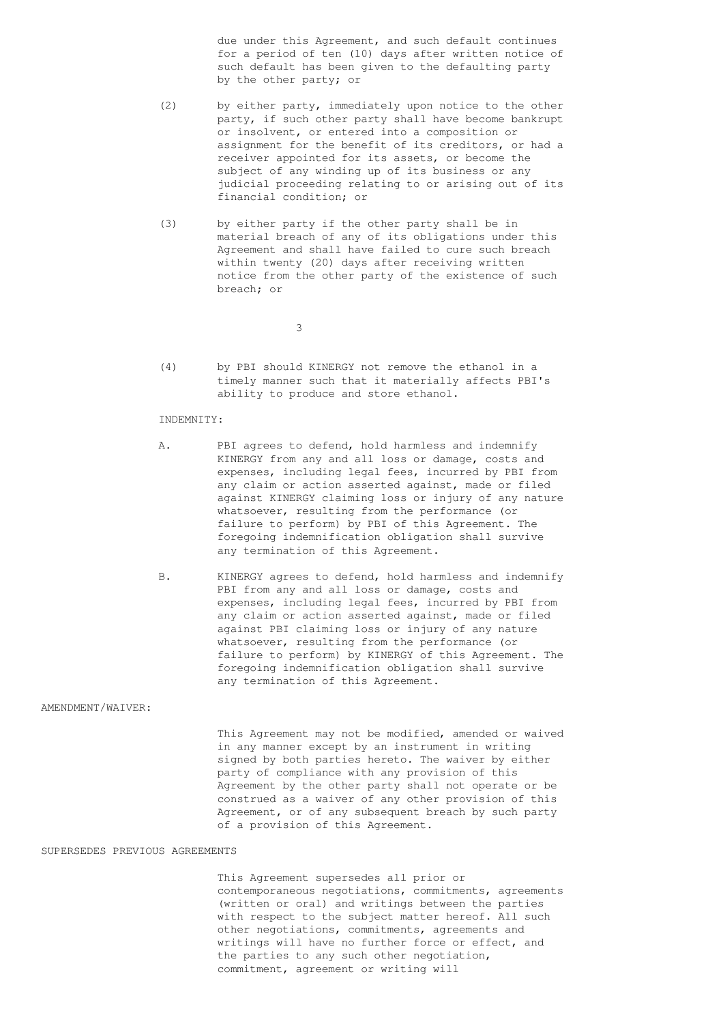due under this Agreement, and such default continues for a period of ten (10) days after written notice of such default has been given to the defaulting party by the other party; or

- (2) by either party, immediately upon notice to the other party, if such other party shall have become bankrupt or insolvent, or entered into a composition or assignment for the benefit of its creditors, or had a receiver appointed for its assets, or become the subject of any winding up of its business or any judicial proceeding relating to or arising out of its financial condition; or
- (3) by either party if the other party shall be in material breach of any of its obligations under this Agreement and shall have failed to cure such breach within twenty (20) days after receiving written notice from the other party of the existence of such breach; or

3

(4) by PBI should KINERGY not remove the ethanol in a timely manner such that it materially affects PBI's ability to produce and store ethanol.

# INDEMNITY:

- A. PBI agrees to defend, hold harmless and indemnify KINERGY from any and all loss or damage, costs and expenses, including legal fees, incurred by PBI from any claim or action asserted against, made or filed against KINERGY claiming loss or injury of any nature whatsoever, resulting from the performance (or failure to perform) by PBI of this Agreement. The foregoing indemnification obligation shall survive any termination of this Agreement.
- B. KINERGY agrees to defend, hold harmless and indemnify PBI from any and all loss or damage, costs and expenses, including legal fees, incurred by PBI from any claim or action asserted against, made or filed against PBI claiming loss or injury of any nature whatsoever, resulting from the performance (or failure to perform) by KINERGY of this Agreement. The foregoing indemnification obligation shall survive any termination of this Agreement.

#### AMENDMENT/WAIVER:

This Agreement may not be modified, amended or waived in any manner except by an instrument in writing signed by both parties hereto. The waiver by either party of compliance with any provision of this Agreement by the other party shall not operate or be construed as a waiver of any other provision of this Agreement, or of any subsequent breach by such party of a provision of this Agreement.

# SUPERSEDES PREVIOUS AGREEMENTS

This Agreement supersedes all prior or contemporaneous negotiations, commitments, agreements (written or oral) and writings between the parties with respect to the subject matter hereof. All such other negotiations, commitments, agreements and writings will have no further force or effect, and the parties to any such other negotiation, commitment, agreement or writing will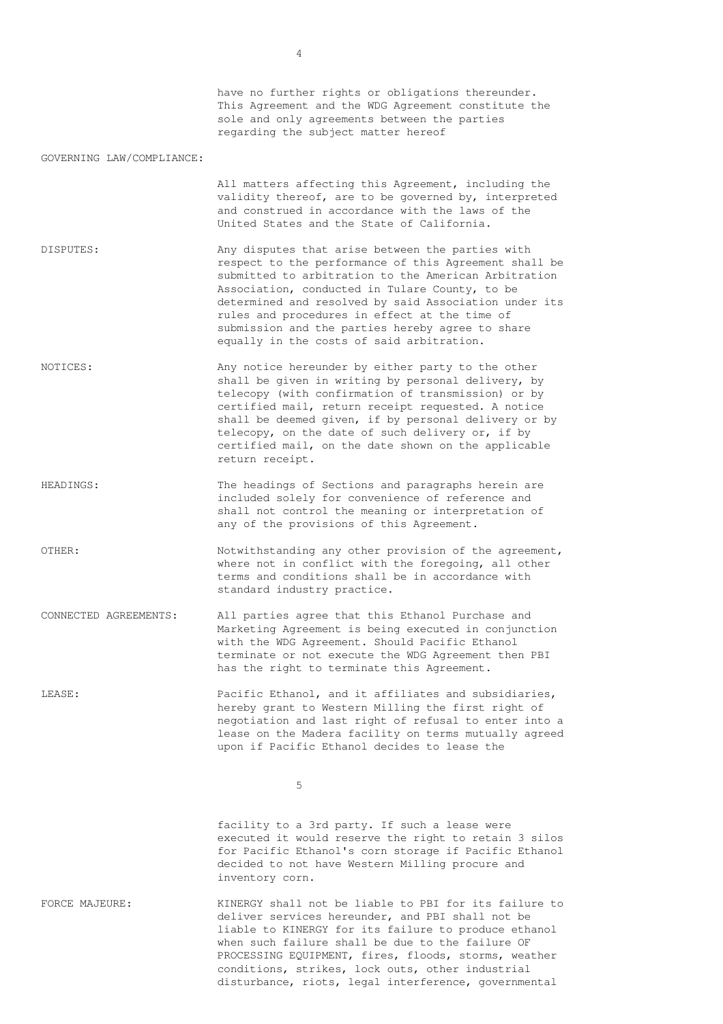have no further rights or obligations thereunder. This Agreement and the WDG Agreement constitute the sole and only agreements between the parties regarding the subject matter hereof GOVERNING LAW/COMPLIANCE: All matters affecting this Agreement, including the validity thereof, are to be governed by, interpreted and construed in accordance with the laws of the United States and the State of California. DISPUTES: Any disputes that arise between the parties with respect to the performance of this Agreement shall be submitted to arbitration to the American Arbitration Association, conducted in Tulare County, to be determined and resolved by said Association under its rules and procedures in effect at the time of submission and the parties hereby agree to share equally in the costs of said arbitration. NOTICES: Any notice hereunder by either party to the other shall be given in writing by personal delivery, by telecopy (with confirmation of transmission) or by certified mail, return receipt requested. A notice shall be deemed given, if by personal delivery or by telecopy, on the date of such delivery or, if by certified mail, on the date shown on the applicable return receipt. HEADINGS: The headings of Sections and paragraphs herein are included solely for convenience of reference and shall not control the meaning or interpretation of any of the provisions of this Agreement.

OTHER: Notwithstanding any other provision of the agreement, where not in conflict with the foregoing, all other terms and conditions shall be in accordance with standard industry practice.

CONNECTED AGREEMENTS: All parties agree that this Ethanol Purchase and Marketing Agreement is being executed in conjunction with the WDG Agreement. Should Pacific Ethanol terminate or not execute the WDG Agreement then PBI has the right to terminate this Agreement.

LEASE: Pacific Ethanol, and it affiliates and subsidiaries, hereby grant to Western Milling the first right of negotiation and last right of refusal to enter into a lease on the Madera facility on terms mutually agreed upon if Pacific Ethanol decides to lease the

5

facility to a 3rd party. If such a lease were executed it would reserve the right to retain 3 silos for Pacific Ethanol's corn storage if Pacific Ethanol decided to not have Western Milling procure and inventory corn.

FORCE MAJEURE: KINERGY shall not be liable to PBI for its failure to deliver services hereunder, and PBI shall not be liable to KINERGY for its failure to produce ethanol when such failure shall be due to the failure OF PROCESSING EQUIPMENT, fires, floods, storms, weather conditions, strikes, lock outs, other industrial disturbance, riots, legal interference, governmental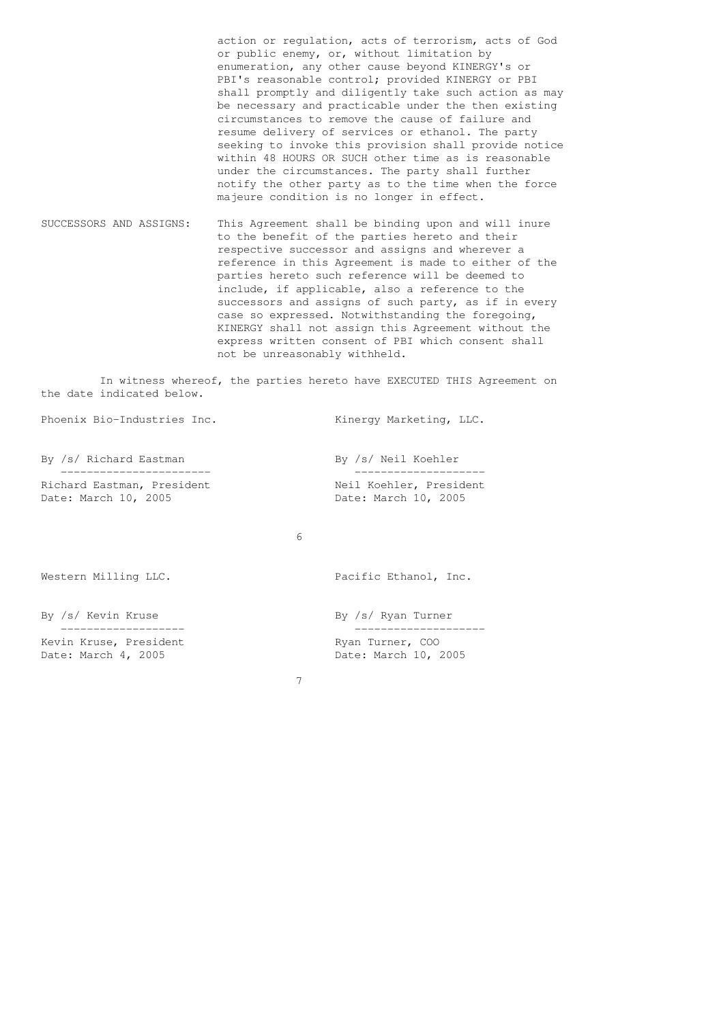action or regulation, acts of terrorism, acts of God or public enemy, or, without limitation by enumeration, any other cause beyond KINERGY's or PBI's reasonable control; provided KINERGY or PBI shall promptly and diligently take such action as may be necessary and practicable under the then existing circumstances to remove the cause of failure and resume delivery of services or ethanol. The party seeking to invoke this provision shall provide notice within 48 HOURS OR SUCH other time as is reasonable under the circumstances. The party shall further notify the other party as to the time when the force majeure condition is no longer in effect.

SUCCESSORS AND ASSIGNS: This Agreement shall be binding upon and will inure to the benefit of the parties hereto and their respective successor and assigns and wherever a reference in this Agreement is made to either of the parties hereto such reference will be deemed to include, if applicable, also a reference to the successors and assigns of such party, as if in every case so expressed. Notwithstanding the foregoing, KINERGY shall not assign this Agreement without the express written consent of PBI which consent shall not be unreasonably withheld.

In witness whereof, the parties hereto have EXECUTED THIS Agreement on the date indicated below.

Phoenix Bio-Industries Inc. The Minergy Marketing, LLC.

| By /s/ Richard Eastman                | By /s/ Neil Koehler           |
|---------------------------------------|-------------------------------|
|                                       |                               |
| <b>Blake and Benedict Barrel deal</b> | $M = 2.1$ $M = 1.1$ $M = 1.1$ |

Richard Eastman, President Date: March 10, 2005 Date: March 10, 2005

---------------------<br>Neil Koehler, President

6

Western Milling LLC. The Pacific Ethanol, Inc.

Kevin Kruse, President Turner, COO Date: March 4, 2005 Date: March 10, 2005

By /s/ Kevin Kruse By /s/ Ryan Turner

------------------- --------------------

7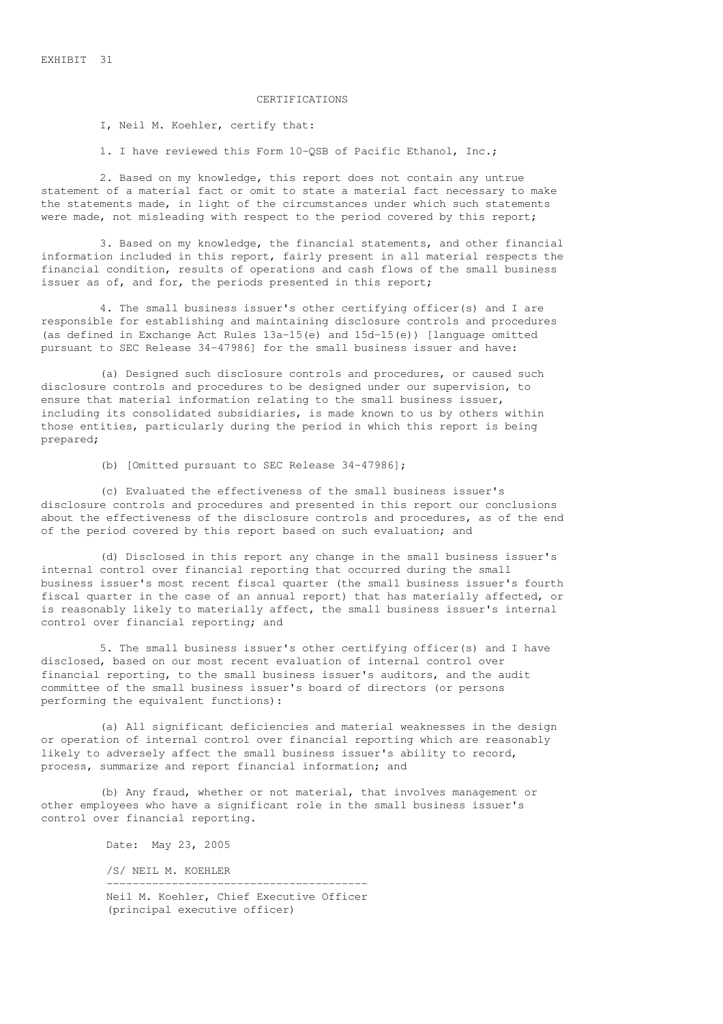### CERTIFICATIONS

I, Neil M. Koehler, certify that:

1. I have reviewed this Form 10-QSB of Pacific Ethanol, Inc.;

2. Based on my knowledge, this report does not contain any untrue statement of a material fact or omit to state a material fact necessary to make the statements made, in light of the circumstances under which such statements were made, not misleading with respect to the period covered by this report;

3. Based on my knowledge, the financial statements, and other financial information included in this report, fairly present in all material respects the financial condition, results of operations and cash flows of the small business issuer as of, and for, the periods presented in this report;

4. The small business issuer's other certifying officer(s) and I are responsible for establishing and maintaining disclosure controls and procedures (as defined in Exchange Act Rules 13a-15(e) and 15d-15(e)) [language omitted pursuant to SEC Release 34-47986] for the small business issuer and have:

(a) Designed such disclosure controls and procedures, or caused such disclosure controls and procedures to be designed under our supervision, to ensure that material information relating to the small business issuer, including its consolidated subsidiaries, is made known to us by others within those entities, particularly during the period in which this report is being prepared;

(b) [Omitted pursuant to SEC Release 34-47986];

(c) Evaluated the effectiveness of the small business issuer's disclosure controls and procedures and presented in this report our conclusions about the effectiveness of the disclosure controls and procedures, as of the end of the period covered by this report based on such evaluation; and

(d) Disclosed in this report any change in the small business issuer's internal control over financial reporting that occurred during the small business issuer's most recent fiscal quarter (the small business issuer's fourth fiscal quarter in the case of an annual report) that has materially affected, or is reasonably likely to materially affect, the small business issuer's internal control over financial reporting; and

5. The small business issuer's other certifying officer(s) and I have disclosed, based on our most recent evaluation of internal control over financial reporting, to the small business issuer's auditors, and the audit committee of the small business issuer's board of directors (or persons performing the equivalent functions):

(a) All significant deficiencies and material weaknesses in the design or operation of internal control over financial reporting which are reasonably likely to adversely affect the small business issuer's ability to record, process, summarize and report financial information; and

(b) Any fraud, whether or not material, that involves management or other employees who have a significant role in the small business issuer's control over financial reporting.

Date: May 23, 2005

/S/ NEIL M. KOEHLER

---------------------------------------- Neil M. Koehler, Chief Executive Officer (principal executive officer)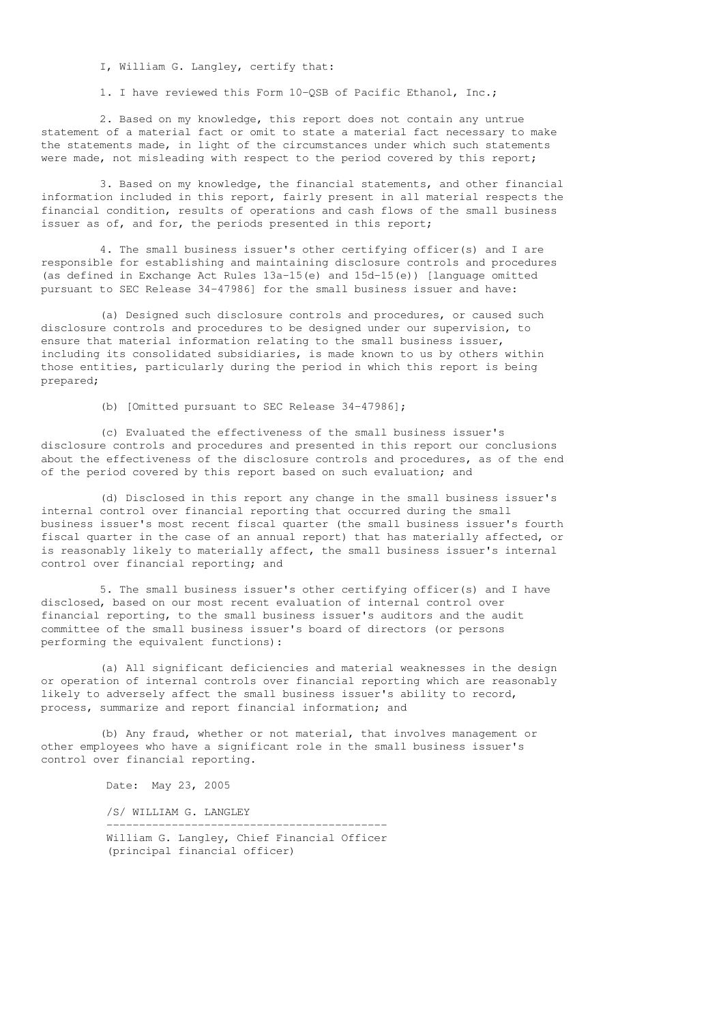I, William G. Langley, certify that:

1. I have reviewed this Form 10-QSB of Pacific Ethanol, Inc.;

2. Based on my knowledge, this report does not contain any untrue statement of a material fact or omit to state a material fact necessary to make the statements made, in light of the circumstances under which such statements were made, not misleading with respect to the period covered by this report;

3. Based on my knowledge, the financial statements, and other financial information included in this report, fairly present in all material respects the financial condition, results of operations and cash flows of the small business issuer as of, and for, the periods presented in this report;

4. The small business issuer's other certifying officer(s) and I are responsible for establishing and maintaining disclosure controls and procedures (as defined in Exchange Act Rules 13a-15(e) and 15d-15(e)) [language omitted pursuant to SEC Release 34-47986] for the small business issuer and have:

(a) Designed such disclosure controls and procedures, or caused such disclosure controls and procedures to be designed under our supervision, to ensure that material information relating to the small business issuer, including its consolidated subsidiaries, is made known to us by others within those entities, particularly during the period in which this report is being prepared;

(b) [Omitted pursuant to SEC Release 34-47986];

(c) Evaluated the effectiveness of the small business issuer's disclosure controls and procedures and presented in this report our conclusions about the effectiveness of the disclosure controls and procedures, as of the end of the period covered by this report based on such evaluation; and

(d) Disclosed in this report any change in the small business issuer's internal control over financial reporting that occurred during the small business issuer's most recent fiscal quarter (the small business issuer's fourth fiscal quarter in the case of an annual report) that has materially affected, or is reasonably likely to materially affect, the small business issuer's internal control over financial reporting; and

5. The small business issuer's other certifying officer(s) and I have disclosed, based on our most recent evaluation of internal control over financial reporting, to the small business issuer's auditors and the audit committee of the small business issuer's board of directors (or persons performing the equivalent functions):

(a) All significant deficiencies and material weaknesses in the design or operation of internal controls over financial reporting which are reasonably likely to adversely affect the small business issuer's ability to record, process, summarize and report financial information; and

(b) Any fraud, whether or not material, that involves management or other employees who have a significant role in the small business issuer's control over financial reporting.

Date: May 23, 2005

/S/ WILLIAM G. LANGLEY

------------------------------------------- William G. Langley, Chief Financial Officer (principal financial officer)